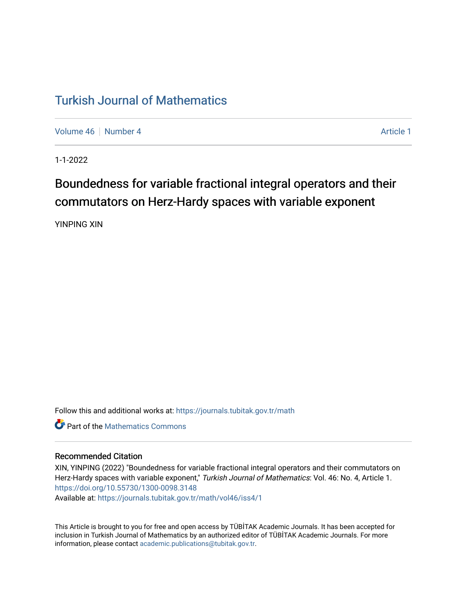## [Turkish Journal of Mathematics](https://journals.tubitak.gov.tr/math)

[Volume 46](https://journals.tubitak.gov.tr/math/vol46) [Number 4](https://journals.tubitak.gov.tr/math/vol46/iss4) **Article 1** Article 1

1-1-2022

# Boundedness for variable fractional integral operators and their commutators on Herz-Hardy spaces with variable exponent

YINPING XIN

Follow this and additional works at: [https://journals.tubitak.gov.tr/math](https://journals.tubitak.gov.tr/math?utm_source=journals.tubitak.gov.tr%2Fmath%2Fvol46%2Fiss4%2F1&utm_medium=PDF&utm_campaign=PDFCoverPages) 

**C** Part of the [Mathematics Commons](https://network.bepress.com/hgg/discipline/174?utm_source=journals.tubitak.gov.tr%2Fmath%2Fvol46%2Fiss4%2F1&utm_medium=PDF&utm_campaign=PDFCoverPages)

#### Recommended Citation

XIN, YINPING (2022) "Boundedness for variable fractional integral operators and their commutators on Herz-Hardy spaces with variable exponent," Turkish Journal of Mathematics: Vol. 46: No. 4, Article 1. <https://doi.org/10.55730/1300-0098.3148>

Available at: [https://journals.tubitak.gov.tr/math/vol46/iss4/1](https://journals.tubitak.gov.tr/math/vol46/iss4/1?utm_source=journals.tubitak.gov.tr%2Fmath%2Fvol46%2Fiss4%2F1&utm_medium=PDF&utm_campaign=PDFCoverPages)

This Article is brought to you for free and open access by TÜBİTAK Academic Journals. It has been accepted for inclusion in Turkish Journal of Mathematics by an authorized editor of TÜBİTAK Academic Journals. For more information, please contact [academic.publications@tubitak.gov.tr](mailto:academic.publications@tubitak.gov.tr).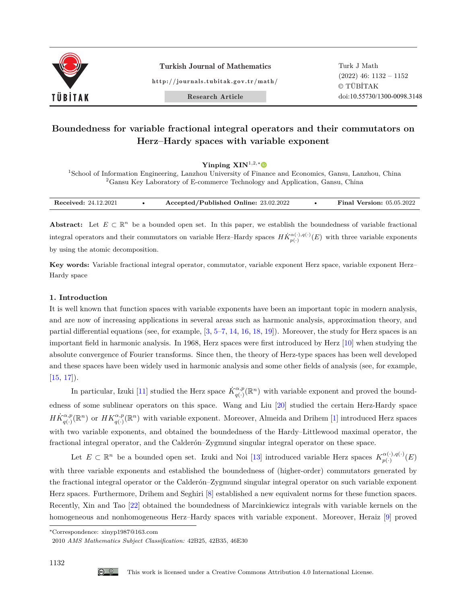

Turkish Journal of Mathematics

http://journals.tubitak.gov.tr/math/

Turk J Math (2022) 46: 1132 – 1152 © TÜBİTAK doi:10.55730/1300-0098.3148

Research Article

### **Boundedness for variable fractional integral operators and their commutators on Herz–Hardy spaces with variable exponent**

**Yinping XIN**<sup>1</sup>*,*2*,*<sup>∗</sup>

<sup>1</sup>School of Information Engineering, Lanzhou University of Finance and Economics, Gansu, Lanzhou, China  ${}^{2}\mathrm{G}$ ansu Key Laboratory of E-commerce Technology and Application, Gansu, China

| <b>Received: 24.12.2021</b> | Accepted/Published Online: 23.02.2022 |  | <b>Version:</b> 05.05.2022<br>Final |
|-----------------------------|---------------------------------------|--|-------------------------------------|
|-----------------------------|---------------------------------------|--|-------------------------------------|

Abstract: Let  $E \subset \mathbb{R}^n$  be a bounded open set. In this paper, we establish the boundedness of variable fractional integral operators and their commutators on variable Herz–Hardy spaces  $H\dot{K}^{\alpha(\cdot),q(\cdot)}_{p(\cdot)}(E)$  with three variable exponents by using the atomic decomposition.

Key words: Variable fractional integral operator, commutator, variable exponent Herz space, variable exponent Herz– Hardy space

#### <span id="page-1-0"></span>**1. Introduction**

It is well known that function spaces with variable exponents have been an important topic in modern analysis, and are now of increasing applications in several areas such as harmonic analysis, approximation theory, and partial differential equations (see, for example, [\[3](#page-20-0), [5](#page-20-1)[–7](#page-20-2), [14,](#page-20-3) [16](#page-21-0), [18,](#page-21-1) [19\]](#page-21-2)). Moreover, the study for Herz spaces is an important field in harmonic analysis. In 1968, Herz spaces were first introduced by Herz [\[10](#page-20-4)] when studying the absolute convergence of Fourier transforms. Since then, the theory of Herz-type spaces has been well developed and these spaces have been widely used in harmonic analysis and some other fields of analysis (see, for example,  $[15, 17]$  $[15, 17]$  $[15, 17]$  $[15, 17]$ .

In particular, Izuki [[11](#page-20-6)] studied the Herz space  $\dot{K}_{q(\cdot)}^{\alpha,p}(\mathbb{R}^n)$  with variable exponent and proved the boundedness of some sublinear operators on this space. Wang and Liu [\[20](#page-21-4)] studied the certain Herz-Hardy space  $H\dot{K}^{\alpha,p}_{q(\cdot)}(\mathbb{R}^n)$  or  $HK^{\alpha,p}_{q(\cdot)}(\mathbb{R}^n)$  with variable exponent. Moreover, Almeida and Drihem [\[1](#page-20-7)] introduced Herz spaces with two variable exponents, and obtained the boundedness of the Hardy–Littlewood maximal operator, the fractional integral operator, and the Calderón–Zygmund singular integral operator on these space.

Let  $E \subset \mathbb{R}^n$  be a bounded open set. Izuki and Noi [\[13](#page-20-8)] introduced variable Herz spaces  $K_{n(\cdot)}^{\alpha(\cdot),q(\cdot)}$  $\frac{q(\cdot)}{p(\cdot)}$   $(E)$ with three variable exponents and established the boundedness of (higher-order) commutators generated by the fractional integral operator or the Calderón–Zygmund singular integral operator on such variable exponent Herz spaces. Furthermore, Drihem and Seghiri [[8\]](#page-20-9) established a new equivalent norms for these function spaces. Recently, Xin and Tao [[22\]](#page-21-5) obtained the boundedness of Marcinkiewicz integrals with variable kernels on the homogeneous and nonhomogeneous Herz–Hardy spaces with variable exponent. Moreover, Heraiz [[9\]](#page-20-10) proved

<sup>∗</sup>Correspondence: xinyp1987@163.com

<sup>2010</sup> *AMS Mathematics Subject Classification:* 42B25, 42B35, 46E30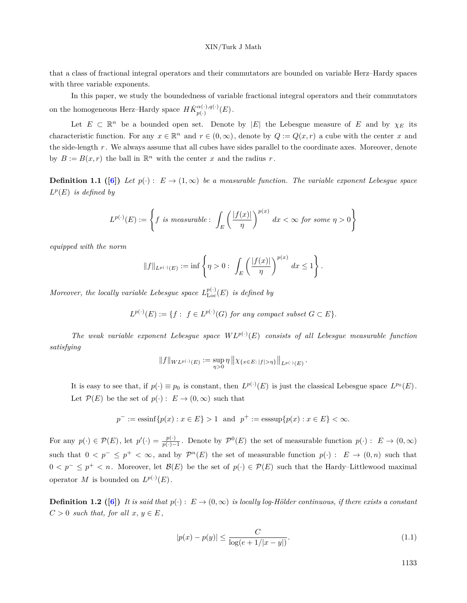that a class of fractional integral operators and their commutators are bounded on variable Herz–Hardy spaces with three variable exponents.

In this paper, we study the boundedness of variable fractional integral operators and their commutators on the homogeneous Herz–Hardy space  $H\dot{K}_{n(\cdot)}^{\alpha(\cdot),q(\cdot)}$  $_{p(\cdot)}^{\alpha(\cdot),q(\cdot)}(E)$  .

Let  $E \subset \mathbb{R}^n$  be a bounded open set. Denote by  $|E|$  the Lebesgue measure of *E* and by  $\chi_E$  its characteristic function. For any  $x \in \mathbb{R}^n$  and  $r \in (0, \infty)$ , denote by  $Q := Q(x, r)$  a cube with the center *x* and the side-length *r* . We always assume that all cubes have sides parallel to the coordinate axes. Moreover, denote by  $B := B(x, r)$  the ball in  $\mathbb{R}^n$  with the center *x* and the radius *r*.

**Definition 1.1 ([\[6](#page-20-11)])** Let  $p(\cdot): E \to (1,\infty)$  be a measurable function. The variable exponent Lebesgue space  $L^p(E)$  *is defined by* 

$$
L^{p(\cdot)}(E) := \left\{ f \text{ is measurable : } \int_{E} \left( \frac{|f(x)|}{\eta} \right)^{p(x)} dx < \infty \text{ for some } \eta > 0 \right\}
$$

*equipped with the norm*

$$
\|f\|_{L^{p(\cdot)}(E)} := \inf \left\{\eta > 0: \int_{E} \left(\frac{|f(x)|}{\eta}\right)^{p(x)} dx \le 1\right\}.
$$

*Moreover, the locally variable Lebesgue space*  $L_{\text{Loc}}^{p(\cdot)}(E)$  *is defined by* 

$$
L^{p(\cdot)}(E) := \{ f : f \in L^{p(\cdot)}(G) \text{ for any compact subset } G \subset E \}.
$$

*The weak variable exponent Lebesgue space*  $WL^{p(\cdot)}(E)$  *consists of all Lebesgue measurable function satisfying*

$$
||f||_{WL^{p(\cdot)}(E)} := \sup_{\eta>0} \eta ||\chi_{\{x\in E:\,|f|>\eta\}}||_{L^{p(\cdot)}(E)}.
$$

It is easy to see that, if  $p(\cdot) \equiv p_0$  is constant, then  $L^{p(\cdot)}(E)$  is just the classical Lebesgue space  $L^{p_0}(E)$ . Let  $\mathcal{P}(E)$  be the set of  $p(\cdot) : E \to (0, \infty)$  such that

$$
p^- := \operatorname{essinf} \{ p(x) : x \in E \} > 1 \text{ and } p^+ := \operatorname{esssup} \{ p(x) : x \in E \} < \infty.
$$

For any  $p(\cdot) \in \mathcal{P}(E)$ , let  $p'(\cdot) = \frac{p(\cdot)}{p(\cdot)-1}$ . Denote by  $\mathcal{P}^0(E)$  the set of measurable function  $p(\cdot): E \to (0,\infty)$ such that  $0 < p^- \leq p^+ < \infty$ , and by  $\mathcal{P}^n(E)$  the set of measurable function  $p(\cdot) : E \to (0, n)$  such that 0  $\leq$  *p*<sup>−</sup>  $\leq$  *p*<sup>+</sup>  $\leq$  *n*. Moreover, let *B*(*E*) be the set of *p*(*·*)  $\in$  *P*(*E*) such that the Hardy–Littlewood maximal operator *M* is bounded on  $L^{p(\cdot)}(E)$ .

**Definition 1.2** ([\[6](#page-20-11)]) It is said that  $p(\cdot): E \to (0, \infty)$  is locally log-Hölder continuous, if there exists a constant  $C > 0$  *such that, for all*  $x, y \in E$ ,

$$
|p(x) - p(y)| \le \frac{C}{\log(e + 1/|x - y|)}.\tag{1.1}
$$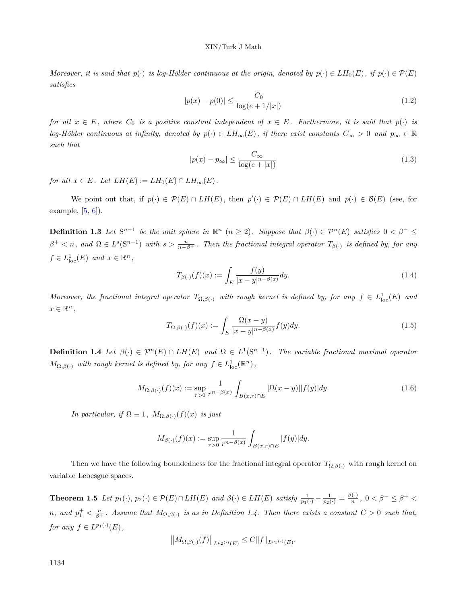#### XIN/Turk J Math

*Moreover, it is said that*  $p(\cdot)$  *is log-Hölder continuous at the origin, denoted by*  $p(\cdot) \in LH_0(E)$ *, if*  $p(\cdot) \in \mathcal{P}(E)$ *satisfies*

$$
|p(x) - p(0)| \le \frac{C_0}{\log(e + 1/|x|)}\tag{1.2}
$$

*for all*  $x \in E$ , where  $C_0$  *is a positive constant independent of*  $x \in E$ *. Furthermore, it is said that*  $p(\cdot)$  *is log-Hölder continuous at infinity, denoted by*  $p(\cdot) \in LH_\infty(E)$ , *if there exist constants*  $C_\infty > 0$  *and*  $p_\infty \in \mathbb{R}$ *such that*

$$
|p(x) - p_{\infty}| \le \frac{C_{\infty}}{\log(e + |x|)}
$$
\n(1.3)

*for all*  $x \in E$ *. Let*  $LH(E) := LH_0(E) \cap LH_\infty(E)$ *.* 

We point out that, if  $p(\cdot) \in \mathcal{P}(E) \cap LH(E)$ , then  $p'(\cdot) \in \mathcal{P}(E) \cap LH(E)$  and  $p(\cdot) \in \mathcal{B}(E)$  (see, for example,  $[5, 6]$  $[5, 6]$ .

**Definition 1.3** Let  $S^{n-1}$  be the unit sphere in  $\mathbb{R}^n$   $(n \geq 2)$ . Suppose that  $\beta(\cdot) \in \mathcal{P}^n(E)$  satisfies  $0 < \beta^- \leq$  $\beta^+$  < n, and  $\Omega \in L^s(\mathbb{S}^{n-1})$  with  $s > \frac{n}{n-\beta^+}$ . Then the fractional integral operator  $T_{\beta(\cdot)}$  is defined by, for any  $f \in L^1_{loc}(E)$  *and*  $x \in \mathbb{R}^n$ ,

$$
T_{\beta(\cdot)}(f)(x) := \int_{E} \frac{f(y)}{|x - y|^{n - \beta(x)}} dy.
$$
\n(1.4)

*Moreover, the fractional integral operator*  $T_{\Omega,\beta}$ <sup>(*·*</sup>) *with rough kernel is defined by, for any*  $f \in L^1_{loc}(E)$  *and*  $x \in \mathbb{R}^n$ ,

$$
T_{\Omega,\beta(\cdot)}(f)(x) := \int_{E} \frac{\Omega(x-y)}{|x-y|^{n-\beta(x)}} f(y) dy.
$$
\n(1.5)

**Definition 1.4** *Let*  $\beta(\cdot) \in \mathcal{P}^n(E) \cap LH(E)$  *and*  $\Omega \in L^1(\mathbb{S}^{n-1})$ *. The variable fractional maximal operator*  $M_{\Omega,\beta}(\cdot)$  *with rough kernel is defined by, for any*  $f \in L^1_{loc}(\mathbb{R}^n)$ ,

$$
M_{\Omega,\beta(\cdot)}(f)(x) := \sup_{r>0} \frac{1}{r^{n-\beta(x)}} \int_{B(x,r)\cap E} |\Omega(x-y)||f(y)| dy.
$$
 (1.6)

*In particular, if*  $\Omega \equiv 1$ *,*  $M_{\Omega,\beta}(\cdot)(f)(x)$  *is just* 

$$
M_{\beta(\cdot)}(f)(x) := \sup_{r>0} \frac{1}{r^{n-\beta(x)}} \int_{B(x,r)\cap E} |f(y)| dy.
$$

Then we have the following boundedness for the fractional integral operator  $T_{\Omega,\beta(\cdot)}$  with rough kernel on variable Lebesgue spaces.

<span id="page-3-1"></span><span id="page-3-0"></span>**Theorem 1.5** Let  $p_1(\cdot), p_2(\cdot) \in \mathcal{P}(E) \cap LH(E)$  and  $\beta(\cdot) \in LH(E)$  satisfy  $\frac{1}{p_1(\cdot)} - \frac{1}{p_2(\cdot)} = \frac{\beta(\cdot)}{n}$  $\frac{n(n)}{n}$ , 0 <  $\beta^{-} \leq \beta^{+}$ *n*, and  $p_1^+ < \frac{n}{\beta^+}$ . Assume that  $M_{\Omega,\beta(\cdot)}$  is as in Definition 1.4. Then there exists a constant  $C > 0$  such that, *for any*  $f \in L^{p_1(\cdot)}(E)$ ,

$$
||M_{\Omega,\beta(\cdot)}(f)||_{L^{p_2(\cdot)}(E)} \leq C||f||_{L^{p_1(\cdot)}(E)}.
$$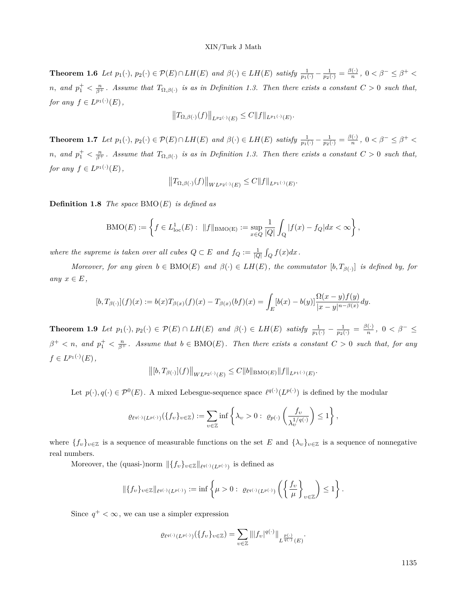**Theorem 1.6** Let  $p_1(\cdot), p_2(\cdot) \in \mathcal{P}(E) \cap LH(E)$  and  $\beta(\cdot) \in LH(E)$  satisfy  $\frac{1}{p_1(\cdot)} - \frac{1}{p_2(\cdot)} = \frac{\beta(\cdot)}{n}$  $\frac{f(\cdot)}{n}$ , 0 <  $\beta^- \leq \beta^+$  < *n*, and  $p_1^+ < \frac{n}{\beta^+}$ . Assume that  $T_{\Omega,\beta(\cdot)}$  is as in Definition 1.3. Then there exists a constant  $C > 0$  such that, *for any*  $f \in L^{p_1(\cdot)}(E)$ ,

$$
||T_{\Omega,\beta(\cdot)}(f)||_{L^{p_2(\cdot)}(E)} \leq C||f||_{L^{p_1(\cdot)}(E)}.
$$

<span id="page-4-0"></span>**Theorem 1.7** Let  $p_1(\cdot), p_2(\cdot) \in \mathcal{P}(E) \cap LH(E)$  and  $\beta(\cdot) \in LH(E)$  satisfy  $\frac{1}{p_1(\cdot)} - \frac{1}{p_2(\cdot)} = \frac{\beta(\cdot)}{n}$  $\frac{f(\cdot)}{n}$ , 0 <  $\beta^- \leq \beta^+$  < *n*, and  $p_1^+ < \frac{n}{\beta^+}$ . Assume that  $T_{\Omega,\beta(\cdot)}$  is as in Definition 1.3. Then there exists a constant  $C > 0$  such that, *for any*  $f \in L^{p_1(\cdot)}(E)$ ,

$$
||T_{\Omega,\beta(\cdot)}(f)||_{WL^{p_2(\cdot)}(E)} \leq C||f||_{L^{p_1(\cdot)}(E)}.
$$

**Definition 1.8** *The space* BMO(*E*) *is defined as*

$$
\text{BMO}(E) := \left\{ f \in L^1_{\text{loc}}(E) : ||f||_{\text{BMO}(E)} := \sup_{x \in Q} \frac{1}{|Q|} \int_Q |f(x) - f_Q| dx < \infty \right\},
$$

*where the supreme is taken over all cubes*  $Q \subset E$  *and*  $f_Q := \frac{1}{|Q|} \int_Q f(x) dx$ .

*Moreover, for any given*  $b \in BMO(E)$  *and*  $\beta(\cdot) \in LH(E)$ , the commutator  $[b, T_{\beta(\cdot)}]$  is defined by, for  $any \; x \in E$ ,

$$
[b,T_{\beta(\cdot)}](f)(x) := b(x)T_{\beta(x)}(f)(x) - T_{\beta(x)}(bf)(x) = \int_{E} [b(x) - b(y)] \frac{\Omega(x-y)f(y)}{|x-y|^{n-\beta(x)}} dy.
$$

<span id="page-4-1"></span>**Theorem 1.9** Let  $p_1(\cdot), p_2(\cdot) \in \mathcal{P}(E) \cap LH(E)$  and  $\beta(\cdot) \in LH(E)$  satisfy  $\frac{1}{p_1(\cdot)} - \frac{1}{p_2(\cdot)} = \frac{\beta(\cdot)}{n}$  $\frac{f(\cdot)}{n}$ , 0 <  $\beta^{-} \leq$  $\beta^+ < n$ , and  $p_1^+ < \frac{n}{\beta^+}$ . Assume that  $b \in \text{BMO}(E)$ . Then there exists a constant  $C > 0$  such that, for any  $f \in L^{p_1(\cdot)}(E)$ ,

$$
\big\|[b,T_{\beta(\cdot)}](f)\big\|_{WL^{p_2(\cdot)}(E)}\leq C\|b\|_{{\rm BMO}(E)}\|f\|_{L^{p_1(\cdot)}(E)}.
$$

Let  $p(\cdot), q(\cdot) \in \mathcal{P}^0(E)$ . A mixed Lebesgue-sequence space  $\ell^{q(\cdot)}(L^{p(\cdot)})$  is defined by the modular

$$
\varrho_{\ell^{q(\cdot)}(L^{p(\cdot)})}(\{f_v\}_{v\in\mathbb{Z}}):=\sum_{v\in\mathbb{Z}}\inf\left\{\lambda_v>0:\ \varrho_{p(\cdot)}\left(\frac{f_v}{\lambda_v^{1/q(\cdot)}}\right)\leq 1\right\},\
$$

where  ${f_{\nu}}_{\nu\in\mathbb{Z}}$  is a sequence of measurable functions on the set *E* and  ${\lambda_{\nu}}_{\nu\in\mathbb{Z}}$  is a sequence of nonnegative real numbers.

Moreover, the (quasi-)norm  $\|\{f_v\}_{v \in \mathbb{Z}}\|_{\ell^{q(\cdot)}(L^{p(\cdot)})}$  is defined as

$$
\|\{f_v\}_{v\in\mathbb{Z}}\|_{\ell^{q(\cdot)}(L^{p(\cdot)})} := \inf\left\{\mu > 0: \ \varrho_{\ell^{q(\cdot)}(L^{p(\cdot)})}\left(\left\{\frac{f_v}{\mu}\right\}_{v\in\mathbb{Z}}\right) \leq 1\right\}.
$$

Since  $q^+ < \infty$ , we can use a simpler expression

$$
\varrho_{\ell^{q(\cdot)}(L^{p(\cdot)})}(\{f_v\}_{v\in\mathbb{Z}})=\sum_{v\in\mathbb{Z}}\||f_v|^{q(\cdot)}\|_{L^{\frac{p(\cdot)}{q(\cdot)}}(E)}.
$$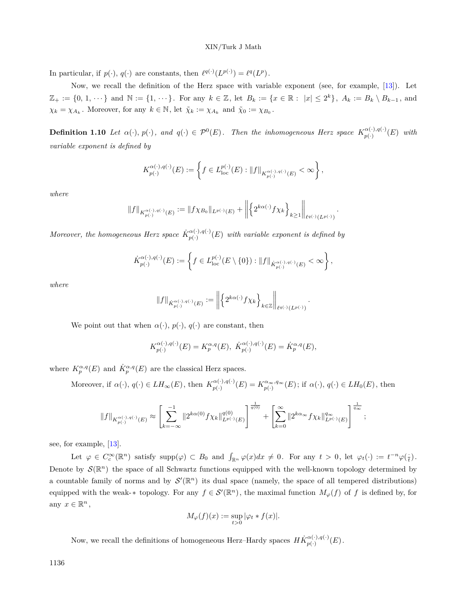In particular, if  $p(\cdot), q(\cdot)$  are constants, then  $\ell^{q(\cdot)}(L^{p(\cdot)}) = \ell^{q}(L^{p}).$ 

Now, we recall the definition of the Herz space with variable exponent (see, for example, [[13\]](#page-20-8)). Let  $\mathbb{Z}_+ := \{0, 1, \dots\}$  and  $\mathbb{N} := \{1, \dots\}$ . For any  $k \in \mathbb{Z}$ , let  $B_k := \{x \in \mathbb{R} : |x| \leq 2^k\}$ ,  $A_k := B_k \setminus B_{k-1}$ , and  $\chi_k = \chi_{A_k}$ . Moreover, for any  $k \in \mathbb{N}$ , let  $\tilde{\chi}_k := \chi_{A_k}$  and  $\tilde{\chi}_0 := \chi_{B_0}$ .

**Definition 1.10** Let  $\alpha(\cdot), p(\cdot)$ , and  $q(\cdot) \in \mathcal{P}^0(E)$ . Then the inhomogeneous Herz space  $K_{n(\cdot)}^{\alpha(\cdot),q(\cdot)}$  $_{p(\cdot)}^{\alpha(\cdot),q(\cdot)}(E)$  *with variable exponent is defined by*

$$
K^{\alpha(\cdot),q(\cdot)}_{p(\cdot)}(E) := \left\{ f \in L^{p(\cdot)}_{\text{loc}}(E) : ||f||_{K^{\alpha(\cdot),q(\cdot)}_{p(\cdot)}(E)} < \infty \right\},\,
$$

*where*

$$
\|f\|_{K^{\alpha(\cdot),q(\cdot)}_{p(\cdot)}(E)}:=\|f\chi_{B_0}\|_{L^{p(\cdot)}(E)}+\left\|\left\{2^{k\alpha(\cdot)}f\chi_k\right\}_{k\geq 1}\right\|_{\ell^{q(\cdot)}(L^{p(\cdot)})}.
$$

*Moreover, the homogeneous Herz space*  $\dot{K}_{n(\cdot)}^{\alpha(\cdot),q(\cdot)}$  $p_{p(\cdot)}^{(\alpha(\cdot),q(\cdot))}(E)$  *with variable exponent is defined by* 

$$
\dot{K}_{p(\cdot)}^{\alpha(\cdot),q(\cdot)}(E):=\left\{f\in L_{\rm loc}^{p(\cdot)}\big(E\setminus\{0\}\big):\|f\|_{\dot{K}_{p(\cdot)}^{\alpha(\cdot),q(\cdot)}(E)}<\infty\right\},
$$

*where*

$$
\|f\|_{\dot{K}_{p(\cdot)}^{\alpha(\cdot),q(\cdot)}(E)}:=\left\|\left\{2^{k\alpha(\cdot)}f\chi_k\right\}_{k\in\mathbb{Z}}\right\|_{\ell^{q(\cdot)}(L^{p(\cdot)})}.
$$

We point out that when  $\alpha(\cdot)$ ,  $p(\cdot)$ ,  $q(\cdot)$  are constant, then

$$
K^{\alpha(\cdot),q(\cdot)}_{p(\cdot)}(E)=K^{\alpha,q}_p(E),\ \dot{K}^{\alpha(\cdot),q(\cdot)}_{p(\cdot)}(E)=\dot{K}^{\alpha,q}_p(E),
$$

where  $K_p^{\alpha,q}(E)$  and  $\dot{K}_p^{\alpha,q}(E)$  are the classical Herz spaces.

Moreover, if  $\alpha(\cdot)$ ,  $q(\cdot) \in LH_{\infty}(E)$ , then  $K_{n(\cdot)}^{\alpha(\cdot),q(\cdot)}$  $p_{(·)}^{\alpha(\cdot),q(\cdot)}(E) = K_{p(·)}^{\alpha_{\infty},q_{\infty}}(E)$ ; if  $\alpha(\cdot), q(\cdot) \in LH_0(E)$ , then

$$
\|f\|_{K^{\alpha(\cdot),q(\cdot)}_{p(\cdot)}(E)} \approx \left[\sum_{k=-\infty}^{-1} \|2^{k\alpha(0)} f \chi_k\|_{L^{p(\cdot)}(E)}^{q(0)}\right]^{\frac{1}{q(0)}} + \left[\sum_{k=0}^{\infty} \|2^{k\alpha_\infty} f \chi_k\|_{L^{p(\cdot)}(E)}^{q_\infty}\right]^{\frac{1}{q_\infty}},
$$

see, for example, [[13\]](#page-20-8).

Let  $\varphi \in C_c^{\infty}(\mathbb{R}^n)$  satisfy supp $(\varphi) \subset B_0$  and  $\int_{\mathbb{R}^n} \varphi(x) dx \neq 0$ . For any  $t > 0$ , let  $\varphi_t(\cdot) := t^{-n} \varphi(\frac{\cdot}{t})$ . Denote by  $\mathcal{S}(\mathbb{R}^n)$  the space of all Schwartz functions equipped with the well-known topology determined by a countable family of norms and by  $\mathcal{S}'(\mathbb{R}^n)$  its dual space (namely, the space of all tempered distributions) equipped with the weak- $*$  topology. For any  $f \in \mathcal{S}'(\mathbb{R}^n)$ , the maximal function  $M_{\varphi}(f)$  of f is defined by, for any  $x \in \mathbb{R}^n$ ,

$$
M_{\varphi}(f)(x) := \sup_{t>0} |\varphi_t * f(x)|.
$$

Now, we recall the definitions of homogeneous Herz–Hardy spaces  $H\dot{K}_{n(\cdot)}^{\alpha(\cdot),q(\cdot)}$  $_{p(\cdot)}^{\alpha(\cdot),q(\cdot)}(E)$  .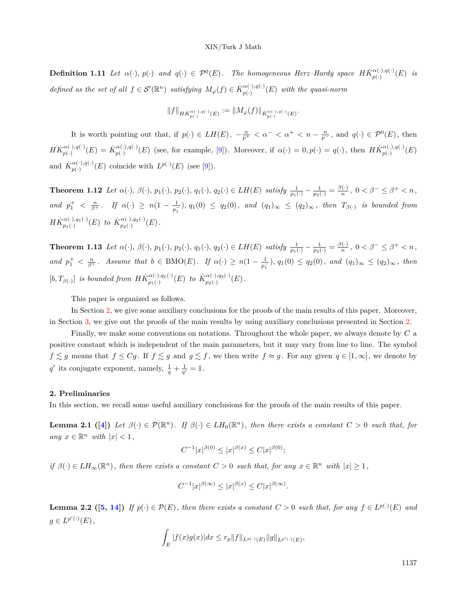**Definition 1.11** Let  $\alpha(\cdot), p(\cdot)$  and  $q(\cdot) \in \mathcal{P}^0(E)$ . The homogeneous Herz–Hardy space  $H\dot{K}_{n(\cdot)}^{\alpha(\cdot),q(\cdot)}$  $\frac{a(\cdot),q(\cdot)}{p(\cdot)}(E)$  *is defined as the set of all*  $f \in \mathcal{S}'(\mathbb{R}^n)$  *satisfying*  $M_{\varphi}(f) \in \dot{K}_{n(\cdot)}^{\alpha(\cdot),q(\cdot)}$  $p_{p(\cdot)}^{\alpha(\cdot),q(\cdot)}(E)$  *with the quasi-norm* 

$$
\|f\|_{H\dot{K}^{\alpha(\cdot),q(\cdot)}_{p(\cdot)}(E)}:=\|M_{\varphi}(f)\|_{\dot{K}^{\alpha(\cdot),q(\cdot)}_{p(\cdot)}(E)}.
$$

It is worth pointing out that, if  $p(\cdot) \in LH(E)$ ,  $-\frac{n}{p^+} < \alpha^- < \alpha^+ < n - \frac{n}{p^-}$ , and  $q(\cdot) \in \mathcal{P}^0(E)$ , then  $H\dot{K}_{n(\cdot)}^{\alpha(\cdot),q(\cdot)}$  $\dot{K}_{p(\cdot)}^{\alpha(\cdot),q(\cdot)}(E) = \dot{K}_{p(\cdot)}^{\alpha(\cdot),q(\cdot)}$  $p_{p(\cdot)}^{\alpha(\cdot),q(\cdot)}(E)$  (see, for example, [\[9](#page-20-10)]). Moreover, if  $\alpha(\cdot) = 0, p(\cdot) = q(\cdot)$ , then  $H\dot{K}_{p(\cdot)}^{\alpha(\cdot),q(\cdot)}$  $p_{\left( \cdot \right) }^{\alpha \left( \cdot \right) ,q\left( \cdot \right) }(E)$ and  $\dot{K}_{n(\cdot)}^{\alpha(\cdot),q(\cdot)}$  $p_{p(\cdot)}^{\alpha(\cdot),q(\cdot)}(E)$  coincide with  $L^{p(\cdot)}(E)$  (see [\[9](#page-20-10)]).

<span id="page-6-2"></span>**Theorem 1.12** Let  $\alpha(\cdot)$ ,  $\beta(\cdot)$ ,  $p_1(\cdot)$ ,  $p_2(\cdot)$ ,  $q_1(\cdot)$ ,  $q_2(\cdot) \in LH(E)$  satisfy  $\frac{1}{p_1(\cdot)} - \frac{1}{p_2(\cdot)} = \frac{\beta(\cdot)}{n}$  $\frac{f(\cdot)}{n}$ ,  $0 < \beta^{-} \leq \beta^{+} < n$ , *and*  $p_1^+ < \frac{n}{\beta^+}$ . If  $\alpha(\cdot) \geq n(1 - \frac{1}{p_1^+})$  $\frac{1}{p_1}$ ,  $q_1(0)$  ≤  $q_2(0)$ , and  $(q_1)_{\infty}$  ≤  $(q_2)_{\infty}$ , then  $T_{\beta(\cdot)}$  is bounded from  $H\dot{K}_{n_1}^{\alpha(\cdot),q_1(\cdot)}$  $\chi_{p_1(\cdot)}^{\alpha(\cdot),q_1(\cdot)}(E)$  *to*  $\dot{K}_{p_2(\cdot)}^{\alpha(\cdot),q_2(\cdot)}$  $\frac{\alpha(\cdot),q_2(\cdot)}{p_2(\cdot)}(E)$  .

<span id="page-6-4"></span>**Theorem 1.13** Let  $\alpha(\cdot)$ ,  $\beta(\cdot)$ ,  $p_1(\cdot)$ ,  $p_2(\cdot)$ ,  $q_1(\cdot)$ ,  $q_2(\cdot) \in LH(E)$  satisfy  $\frac{1}{p_1(\cdot)} - \frac{1}{p_2(\cdot)} = \frac{\beta(\cdot)}{n}$  $\frac{(0)}{n}$ ,  $0 < \beta^{-} \leq \beta^{+} < n$ , *and*  $p_1^+ < \frac{n}{\beta^+}$ . Assume that  $b \in BMO(E)$ . If  $\alpha(\cdot) \geq n(1 - \frac{1}{p_1})$ .  $\frac{1}{p_1}$ ,  $q_1(0)$  ≤  $q_2(0)$ , and  $(q_1)_{\infty}$  ≤  $(q_2)_{\infty}$ , then  $[b, T_{\beta(\cdot)}]$  *is bounded from*  $H\dot{K}_{p_1(\cdot)}^{\alpha(\cdot),q_1(\cdot)}$  $\alpha^{(\cdot)},q_1(\cdot) \ (E)$  *to*  $\dot{K}_{p_2(\cdot)}^{\alpha(\cdot),q_2(\cdot)}$  $\frac{\alpha(\cdot),q_2(\cdot)}{p_2(\cdot)}(E)$ .

This paper is organized as follows.

In Section [2](#page-6-0), we give some auxiliary conclusions for the proofs of the main results of this paper. Moreover, in Section [3](#page-10-0), we give out the proofs of the main results by using auxiliary conclusions presented in Section [2](#page-6-0).

Finally, we make some conventions on notations. Throughout the whole paper, we always denote by *C* a positive constant which is independent of the main parameters, but it may vary from line to line. The symbol *f* ≤ *g* means that *f* ≤ *Cg*. If *f* ≤ *g* and *g* ≤ *f*, we then write *f* ≈ *g*. For any given *q* ∈ [1, ∞], we denote by  $q'$  its conjugate exponent, namely,  $\frac{1}{q} + \frac{1}{q'} = 1$ .

#### <span id="page-6-0"></span>**2. Preliminaries**

<span id="page-6-3"></span>In this section, we recall some useful auxiliary conclusions for the proofs of the main results of this paper.

**Lemma 2.1** ([[4](#page-20-12)]) Let  $\beta(\cdot) \in \mathcal{P}(\mathbb{R}^n)$ . If  $\beta(\cdot) \in LH_0(\mathbb{R}^n)$ , then there exists a constant  $C > 0$  such that, for  $any \ x \in \mathbb{R}^n \ with \ |x| < 1,$ 

$$
C^{-1}|x|^{\beta(0)} \le |x|^{\beta(x)} \le C|x|^{\beta(0)};
$$

 $if \beta(\cdot) \in LH_\infty(\mathbb{R}^n)$ , then there exists a constant  $C > 0$  such that, for any  $x \in \mathbb{R}^n$  with  $|x| \geq 1$ ,

$$
C^{-1}|x|^{\beta(\infty)}\leq |x|^{\beta(x)}\leq C|x|^{\beta(\infty)}.
$$

<span id="page-6-1"></span>**Lemma 2.2** ([[5](#page-20-1), [14\]](#page-20-3)) If  $p(\cdot) \in \mathcal{P}(E)$ , then there exists a constant  $C > 0$  such that, for any  $f \in L^{p(\cdot)}(E)$  and  $g \in L^{p'(\cdot)}(E)$ ,

$$
\int_E |f(x)g(x)| dx \leq r_p ||f||_{L^{p(\cdot)}(E)} ||g||_{L^{p'(\cdot)}(E)},
$$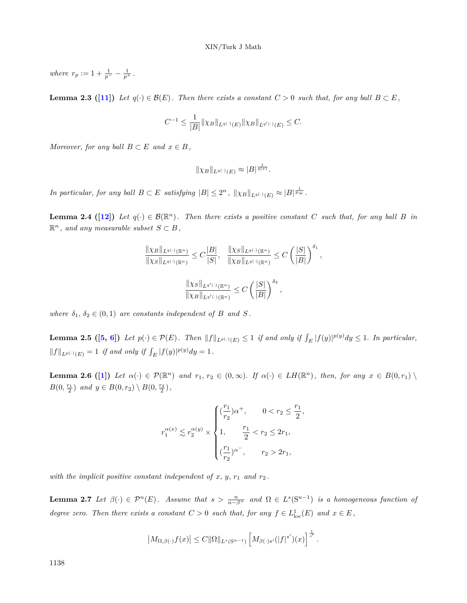*where*  $r_p := 1 + \frac{1}{p^-} - \frac{1}{p^+}$ .

<span id="page-7-2"></span>**Lemma 2.3 ([[11](#page-20-6)])** *Let*  $q(\cdot) \in \mathcal{B}(E)$ *. Then there exists a constant*  $C > 0$  *such that, for any ball*  $B \subset E$ *,* 

$$
C^{-1} \le \frac{1}{|B|} \|\chi_B\|_{L^{q(\cdot)}(E)} \|\chi_B\|_{L^{q'(\cdot)}(E)} \le C.
$$

*Moreover, for any ball*  $B \subset E$  *and*  $x \in B$ *,* 

$$
\|\chi_B\|_{L^{q(\cdot)}(E)} \approx |B|^{\frac{1}{q(x)}}.
$$

In particular, for any ball  $B \subset E$  satisfying  $|B| \leq 2^n$ ,  $||\chi_B||_{L^{q(\cdot)}(E)} \approx |B|^{\frac{1}{p_{\infty}}}$ .

**Lemma 2.4 ([[12](#page-20-13)])** Let  $q(\cdot) \in \mathcal{B}(\mathbb{R}^n)$ . Then there exists a positive constant C such that, for any ball B in  $\mathbb{R}^n$ , and any measurable subset  $S \subset B$ ,

$$
\frac{\|\chi_B\|_{L^{q(\cdot)}(\mathbb{R}^n)}}{\|\chi_S\|_{L^{q(\cdot)}(\mathbb{R}^n)}} \leq C \frac{|B|}{|S|}, \quad \frac{\|\chi_S\|_{L^{q(\cdot)}(\mathbb{R}^n)}}{\|\chi_B\|_{L^{q(\cdot)}(\mathbb{R}^n)}} \leq C \left(\frac{|S|}{|B|}\right)^{\delta_1},
$$

$$
\frac{\|\chi_S\|_{L^{q'(\cdot)}(\mathbb{R}^n)}}{\|\chi_B\|_{L^{q'(\cdot)}(\mathbb{R}^n)}} \leq C \left(\frac{|S|}{|B|}\right)^{\delta_2},
$$

*where*  $\delta_1, \delta_2 \in (0,1)$  *are constants independent of B and S*.

<span id="page-7-1"></span>**Lemma 2.[5](#page-20-1)** ([5, [6](#page-20-11)]) Let  $p(\cdot) \in \mathcal{P}(E)$ . Then  $||f||_{L^{p(\cdot)}(E)} \leq 1$  if and only if  $\int_E |f(y)|^{p(y)} dy \leq 1$ . In particular,  $||f||_{L^{p(\cdot)}(E)} = 1$  *if and only if*  $\int_E |f(y)|^{p(y)} dy = 1$ .

**Lemma 2.6** ([[1](#page-20-7)]) Let  $\alpha(\cdot) \in \mathcal{P}(\mathbb{R}^n)$  and  $r_1, r_2 \in (0, \infty)$ . If  $\alpha(\cdot) \in LH(\mathbb{R}^n)$ , then, for any  $x \in B(0, r_1)$  $B(0, \frac{r_1}{2})$  *and*  $y \in B(0, r_2) \setminus B(0, \frac{r_2}{2})$ ,

$$
r_1^{\alpha(x)} \lesssim r_2^{\alpha(y)} \times \begin{cases} (\frac{r_1}{r_2})\alpha^+, & 0 < r_2 \leq \frac{r_1}{2}, \\[0.2cm] 1, & \frac{r_1}{2} < r_2 \leq 2r_1, \\[0.2cm] (\frac{r_1}{r_2})^{\alpha^-}, & r_2 > 2r_1, \end{cases}
$$

with the implicit positive constant independent of  $x, y, r_1$  and  $r_2$ .

<span id="page-7-0"></span>**Lemma 2.7** Let  $\beta(\cdot) \in \mathcal{P}^n(E)$ . Assume that  $s > \frac{n}{n-\beta^+}$  and  $\Omega \in L^s(S^{n-1})$  is a homogeneous function of *degree zero. Then there exists a constant*  $C > 0$  *such that, for any*  $f \in L^1_{loc}(E)$  *and*  $x \in E$ ,

$$
\left|M_{\Omega,\beta(\cdot)}f(x)\right| \leq C \|\Omega\|_{L^s(\mathbf{S}^{n-1})} \left[M_{\beta(\cdot)s'}(|f|^{s'})(x)\right]^{\frac{1}{s'}}
$$

*.*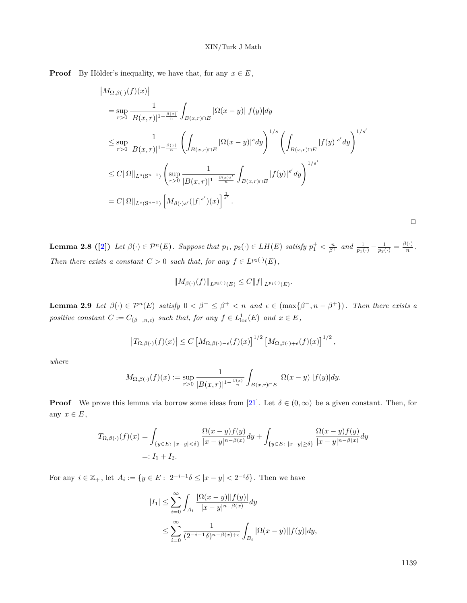**Proof** By Hölder's inequality, we have that, for any  $x \in E$ ,

$$
|M_{\Omega,\beta(\cdot)}(f)(x)|
$$
  
\n
$$
= \sup_{r>0} \frac{1}{|B(x,r)|^{1-\frac{\beta(x)}{n}}} \int_{B(x,r)\cap E} |\Omega(x-y)||f(y)| dy
$$
  
\n
$$
\leq \sup_{r>0} \frac{1}{|B(x,r)|^{1-\frac{\beta(x)}{n}}} \left( \int_{B(x,r)\cap E} |\Omega(x-y)|^s dy \right)^{1/s} \left( \int_{B(x,r)\cap E} |f(y)|^{s'} dy \right)^{1/s'}
$$
  
\n
$$
\leq C ||\Omega||_{L^s(S^{n-1})} \left( \sup_{r>0} \frac{1}{|B(x,r)|^{1-\frac{\beta(x)s'}{n}}} \int_{B(x,r)\cap E} |f(y)|^{s'} dy \right)^{1/s'}
$$
  
\n
$$
= C ||\Omega||_{L^s(S^{n-1})} \left[ M_{\beta(\cdot)s'}(|f|^{s'})(x) \right]^{\frac{1}{s'}}.
$$

 $\Box$ 

<span id="page-8-1"></span>**Lemma [2](#page-20-14).8 (2)** Let  $\beta(\cdot) \in \mathcal{P}^n(E)$ . Suppose that  $p_1, p_2(\cdot) \in LH(E)$  satisfy  $p_1^+ < \frac{n}{\beta^+}$  and  $\frac{1}{p_1(\cdot)} - \frac{1}{p_2(\cdot)} = \frac{\beta(\cdot)}{n}$  $\frac{(\cdot)}{n}$ . *Then there exists a constant*  $C > 0$  *such that, for any*  $f \in L^{p_1(\cdot)}(E)$ ,

$$
||M_{\beta(\cdot)}(f)||_{L^{p_2(\cdot)}(E)} \leq C||f||_{L^{p_1(\cdot)}(E)}.
$$

<span id="page-8-0"></span>**Lemma 2.9** Let  $\beta(\cdot) \in \mathcal{P}^n(E)$  satisfy  $0 < \beta^- \leq \beta^+ < n$  and  $\epsilon \in (\max{\beta^-}, n - \beta^+])$ . Then there exists a *positive constant*  $C := C_{(\beta^-, n, \epsilon)}$  *such that, for any*  $f \in L^1_{loc}(E)$  *and*  $x \in E$ ,

$$
\left|T_{\Omega,\beta(\cdot)}(f)(x)\right| \leq C \left[M_{\Omega,\beta(\cdot)-\epsilon}(f)(x)\right]^{1/2} \left[M_{\Omega,\beta(\cdot)+\epsilon}(f)(x)\right]^{1/2},
$$

*where*

$$
M_{\Omega,\beta(\cdot)}(f)(x) := \sup_{r>0} \frac{1}{|B(x,r)|^{1-\frac{\beta(x)}{n}}} \int_{B(x,r)\cap E} |\Omega(x-y)| |f(y)| dy.
$$

**Proof** We prove this lemma via borrow some ideas from [[21\]](#page-21-6). Let  $\delta \in (0, \infty)$  be a given constant. Then, for any  $x \in E$ ,

$$
T_{\Omega,\beta(\cdot)}(f)(x) = \int_{\{y \in E: \ |x-y| < \delta\}} \frac{\Omega(x-y)f(y)}{|x-y|^{n-\beta(x)}} dy + \int_{\{y \in E: \ |x-y| \ge \delta\}} \frac{\Omega(x-y)f(y)}{|x-y|^{n-\beta(x)}} dy
$$
\n
$$
=: I_1 + I_2.
$$

For any  $i \in \mathbb{Z}_+$ , let  $A_i := \{ y \in E : 2^{-i-1} \delta \leq |x - y| < 2^{-i} \delta \}$ . Then we have

$$
\begin{aligned} |I_1| &\leq \sum_{i=0}^\infty \int_{A_i} \frac{|\Omega(x-y)||f(y)|}{|x-y|^{n-\beta(x)}} dy \\ &\leq \sum_{i=0}^\infty \frac{1}{(2^{-i-1}\delta)^{n-\beta(x)+\epsilon}} \int_{B_i} |\Omega(x-y)||f(y)| dy, \end{aligned}
$$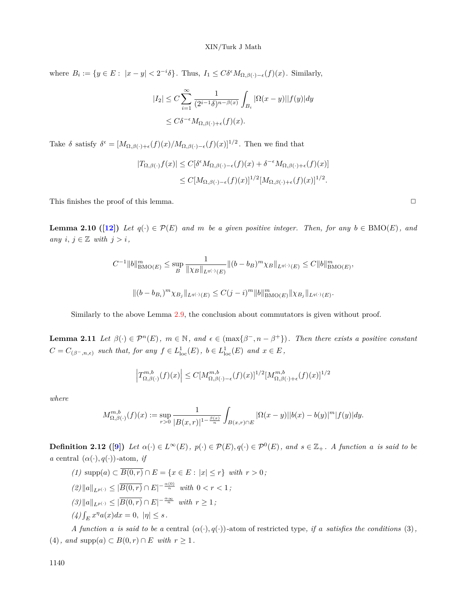where  $B_i := \{ y \in E : |x - y| < 2^{-i}\delta \}$ . Thus,  $I_1 \leq C \delta^{\epsilon} M_{\Omega, \beta(\cdot) - \epsilon}(f)(x)$ . Similarly,

$$
\begin{aligned} |I_2| &\leq C \sum_{i=1}^{\infty} \frac{1}{(2^{i-1}\delta)^{n-\beta(x)}} \int_{B_i} |\Omega(x-y)| |f(y)| dy \\ &\leq C \delta^{-\epsilon} M_{\Omega,\beta(\cdot)+\epsilon}(f)(x). \end{aligned}
$$

Take  $\delta$  satisfy  $\delta^{\epsilon} = [M_{\Omega,\beta(\cdot)+\epsilon}(f)(x)/M_{\Omega,\beta(\cdot)-\epsilon}(f)(x)]^{1/2}$ . Then we find that

$$
\begin{aligned} |T_{\Omega,\beta(\cdot)}f(x)| &\leq C[\delta^{\epsilon}M_{\Omega,\beta(\cdot)-\epsilon}(f)(x)+\delta^{-\epsilon}M_{\Omega,\beta(\cdot)+\epsilon}(f)(x)] \\ &\leq C[M_{\Omega,\beta(\cdot)-\epsilon}(f)(x)]^{1/2}[M_{\Omega,\beta(\cdot)+\epsilon}(f)(x)]^{1/2}.\end{aligned}
$$

<span id="page-9-2"></span>This finishes the proof of this lemma.  $\Box$ 

**Lemma 2.10 ([\[12\]](#page-20-13)**) Let  $q(\cdot) \in \mathcal{P}(E)$  and  $m$  be a given positive integer. Then, for any  $b \in BMO(E)$ , and *any*  $i, j ∈ \mathbb{Z}$  *with*  $j > i$ *,* 

$$
C^{-1} ||b||_{\text{BMO}(E)}^m \le \sup_B \frac{1}{\|\chi_B\|_{L^{q(\cdot)}(E)}} ||(b - b_B)^m \chi_B||_{L^{q(\cdot)}(E)} \le C ||b||_{\text{BMO}(E)}^m
$$
  

$$
||(b - b_{B_i})^m \chi_{B_j}||_{L^{q(\cdot)}(E)} \le C(j - i)^m ||b||_{\text{BMO}(E)}^m ||\chi_{B_j}||_{L^{q(\cdot)}(E)}.
$$

Similarly to the above Lemma [2.9](#page-8-0), the conclusion about commutators is given without proof.

<span id="page-9-0"></span>**Lemma 2.11** Let  $\beta(\cdot) \in \mathcal{P}^n(E)$ ,  $m \in \mathbb{N}$ , and  $\epsilon \in (\max\{\beta^-, n - \beta^+\})$ . Then there exists a positive constant  $C = C_{(\beta^-, n, \epsilon)}$  *such that, for any*  $f \in L^1_{loc}(E)$ ,  $b \in L^1_{loc}(E)$  *and*  $x \in E$ ,

$$
\Big|T_{\Omega,\beta(\cdot)}^{m,b}(f)(x)\Big|\leq C[M_{\Omega,\beta(\cdot)-\epsilon}^{m,b}(f)(x)]^{1/2}[M_{\Omega,\beta(\cdot)+\epsilon}^{m,b}(f)(x)]^{1/2}
$$

*where*

$$
M^{m,b}_{\Omega,\beta(\cdot)}(f)(x):=\sup_{r>0}\frac{1}{|B(x,r)|^{1-\frac{\beta(x)}{n}}}\int_{B(x,r)\cap E}|\Omega(x-y)||b(x)-b(y)|^m|f(y)|dy.
$$

**Definition 2.12** ([\[9\]](#page-20-10)) Let  $\alpha(\cdot) \in L^{\infty}(E)$ ,  $p(\cdot) \in \mathcal{P}(E)$ ,  $q(\cdot) \in \mathcal{P}^0(E)$ , and  $s \in \mathbb{Z}_+$ . A function a is said to be *a* central  $(\alpha(\cdot), q(\cdot))$ -atom, *if* 

(1) supp(a) 
$$
\subset \overline{B(0,r)} \cap E = \{x \in E : |x| \le r\}
$$
 with  $r > 0$ ;  
\n(2)  $||a||_{L^{p(\cdot)}} \le |\overline{B(0,r)} \cap E|^{-\frac{\alpha(0)}{n}}$  with  $0 < r < 1$ ;  
\n(3)  $||a||_{L^{p(\cdot)}} \le |\overline{B(0,r)} \cap E|^{-\frac{\alpha_{\infty}}{n}}$  with  $r \ge 1$ ;  
\n(4)  $\int_E x^n a(x) dx = 0$ ,  $|\eta| \le s$ .

<span id="page-9-1"></span>*A function a is said to be a* central  $(\alpha(\cdot), q(\cdot))$ -atom of restricted type, if *a satisfies the conditions* (3),  $(4)$ *, and*  $\text{supp}(a) \subset B(0,r) \cap E$  *with*  $r \geq 1$ *.* 

*,*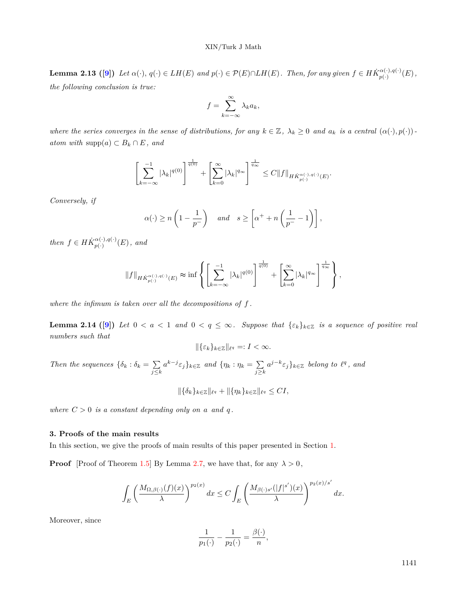#### XIN/Turk J Math

**Lemma 2.13** ([\[9](#page-20-10)]) Let  $\alpha(\cdot), q(\cdot) \in LH(E)$  and  $p(\cdot) \in \mathcal{P}(E) \cap LH(E)$ . Then, for any given  $f \in H\dot{K}_{n(\cdot)}^{\alpha(\cdot),q(\cdot)}$  $\frac{\alpha(\cdot),q(\cdot)}{p(\cdot)}(E),$ *the following conclusion is true:*

$$
f = \sum_{k=-\infty}^{\infty} \lambda_k a_k,
$$

where the series converges in the sense of distributions, for any  $k \in \mathbb{Z}$ ,  $\lambda_k \geq 0$  and  $a_k$  is a central  $(\alpha(\cdot), p(\cdot))$ . *atom with* supp $(a)$  ⊂  $B_k$  ∩  $E$ *, and* 

$$
\left[\sum_{k=-\infty}^{-1} |\lambda_k|^{q(0)}\right]^{\frac{1}{q(0)}} + \left[\sum_{k=0}^{\infty} |\lambda_k|^{q_{\infty}}\right]^{\frac{1}{q_{\infty}}} \leq C \|f\|_{H\dot{K}_{p(\cdot)}^{\alpha(\cdot),q(\cdot)}(E)}.
$$

*Conversely, if*

$$
\alpha(\cdot) \ge n\left(1 - \frac{1}{p^-}\right)
$$
 and  $s \ge \left[\alpha^+ + n\left(\frac{1}{p^-} - 1\right)\right]$ ,

*then*  $f \in H\dot{K}^{\alpha(\cdot),q(\cdot)}_{n(\cdot)}$  $_{p(\cdot)}^{\alpha(\cdot),q(\cdot)}(E)$ , and

$$
\|f\|_{H\dot{K}_{p(\cdot)}^{\alpha(\cdot),q(\cdot)}(E)} \thickapprox \inf \left\{ \left[ \sum_{k=-\infty}^{-1} |\lambda_k|^{q(0)} \right]^{\frac{1}{q(0)}} + \left[ \sum_{k=0}^{\infty} |\lambda_k|^{q_{\infty}} \right]^{\frac{1}{q_{\infty}}} \right\},\
$$

*where the infimum is taken over all the decompositions of f .*

<span id="page-10-1"></span>**Lemma 2.14 ([\[9](#page-20-10)])** Let  $0 < a < 1$  and  $0 < q \leq \infty$ . Suppose that  $\{\varepsilon_k\}_{k \in \mathbb{Z}}$  is a sequence of positive real *numbers such that*

$$
\|\{\varepsilon_k\}_{k\in\mathbb{Z}}\|_{\ell^q}=:I<\infty.
$$

*Then the sequences*  $\{\delta_k : \delta_k = \sum$ *j≤k*  $a^{k-j} \varepsilon_j$ *}*<sub> $k \in \mathbb{Z}$  *and*  $\{\eta_k : \eta_k = \sum$ </sub> *j≥k*  $a^{j-k} \varepsilon_j$ *}*<sub>*k*∈Z *belong to*  $l^q$ *, and*</sub>

$$
\|\{\delta_k\}_{k\in\mathbb{Z}}\|_{\ell^q} + \|\{\eta_k\}_{k\in\mathbb{Z}}\|_{\ell^q} \leq CI,
$$

*where*  $C > 0$  *is a constant depending only on a and q.* 

#### <span id="page-10-0"></span>**3. Proofs of the main results**

In this section, we give the proofs of main results of this paper presented in Section [1.](#page-1-0)

**Proof** [Proof of Theorem [1.5](#page-3-0)] By Lemma [2.7](#page-7-0), we have that, for any  $\lambda > 0$ ,

$$
\int_{E} \left( \frac{M_{\Omega,\beta(\cdot)}(f)(x)}{\lambda} \right)^{p_2(x)} dx \le C \int_{E} \left( \frac{M_{\beta(\cdot)s'}(|f|^{s'})(x)}{\lambda} \right)^{p_2(x)/s'} dx.
$$

Moreover, since

$$
\frac{1}{p_1(\cdot)} - \frac{1}{p_2(\cdot)} = \frac{\beta(\cdot)}{n},
$$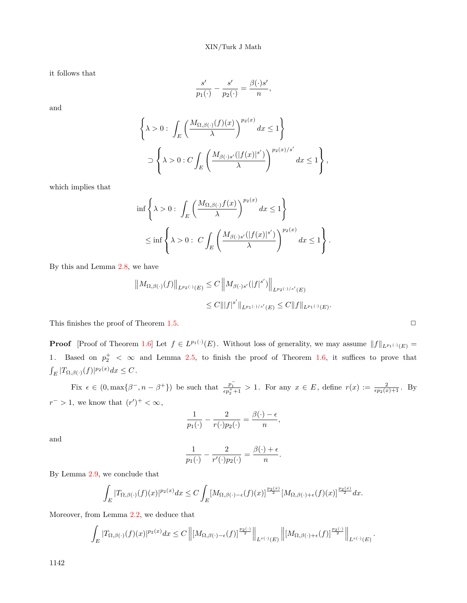it follows that

$$
\frac{s'}{p_1(\cdot)}-\frac{s'}{p_2(\cdot)}=\frac{\beta(\cdot)s'}{n},
$$

and

$$
\left\{\lambda > 0: \int_E \left(\frac{M_{\Omega,\beta(\cdot)}(f)(x)}{\lambda}\right)^{p_2(x)} dx \le 1\right\}
$$
  

$$
\supset \left\{\lambda > 0: C \int_E \left(\frac{M_{\beta(\cdot)s'}(|f(x)|^{s'})}{\lambda}\right)^{p_2(x)/s'} dx \le 1\right\},\
$$

which implies that

$$
\inf \left\{ \lambda > 0 : \int_E \left( \frac{M_{\Omega, \beta(\cdot)} f(x)}{\lambda} \right)^{p_2(x)} dx \le 1 \right\}
$$
  

$$
\le \inf \left\{ \lambda > 0 : C \int_E \left( \frac{M_{\beta(\cdot) s'}(|f(x)|^{s'})}{\lambda} \right)^{p_2(x)} dx \le 1 \right\}.
$$

By this and Lemma [2.8,](#page-8-1) we have

$$
||M_{\Omega,\beta(\cdot)}(f)||_{L^{p_2(\cdot)}(E)} \leq C ||M_{\beta(\cdot)s'}(|f|^{s'})||_{L^{p_2(\cdot)/s'}(E)}
$$
  

$$
\leq C ||f|^{s'}||_{L^{p_1(\cdot)/s'}(E)} \leq C ||f||_{L^{p_1(\cdot)}(E)}.
$$

This finishes the proof of Theorem [1.5](#page-3-0).  $\Box$ 

**Proof** [Proof of Theorem [1.6](#page-3-1)] Let  $f \in L^{p_1(\cdot)}(E)$ . Without loss of generality, we may assume  $||f||_{L^{p_1(\cdot)}(E)} =$ 1. Based on  $p_2^+$  <  $\infty$  and Lemma [2.5,](#page-7-1) to finish the proof of Theorem [1.6](#page-3-1), it suffices to prove that  $\int_E |T_{\Omega,\beta}(\cdot)(f)|^{p_2(x)} dx \leq C$ .

Fix  $\epsilon \in (0, \max\{\beta^-, n-\beta^+\})$  be such that  $\frac{p_1^-}{\epsilon p_2^+ + 1} > 1$ . For any  $x \in E$ , define  $r(x) := \frac{2}{\epsilon p_2(x) + 1}$ . By  $r^- > 1$ , we know that  $(r')^+ < \infty$ ,

$$
\frac{1}{p_1(\cdot)} - \frac{2}{r(\cdot)p_2(\cdot)} = \frac{\beta(\cdot) - \epsilon}{n},
$$

and

$$
\frac{1}{p_1(\cdot)} - \frac{2}{r'(\cdot)p_2(\cdot)} = \frac{\beta(\cdot) + \epsilon}{n}.
$$

By Lemma [2.9,](#page-8-0) we conclude that

$$
\int_{E} |T_{\Omega,\beta(\cdot)}(f)(x)|^{p_2(x)} dx \leq C \int_{E} [M_{\Omega,\beta(\cdot)-\epsilon}(f)(x)]^{\frac{p_2(x)}{2}} [M_{\Omega,\beta(\cdot)+\epsilon}(f)(x)]^{\frac{p_2(x)}{2}} dx.
$$

Moreover, from Lemma [2.2](#page-6-1), we deduce that

$$
\int_{E} |T_{\Omega,\beta(\cdot)}(f)(x)|^{p_2(x)}dx \leq C \left\|[M_{\Omega,\beta(\cdot)-\epsilon}(f)]^{\frac{p_2(\cdot)}{2}}\right\|_{L^{r(\cdot)}(E)} \left\|[M_{\Omega,\beta(\cdot)+\epsilon}(f)]^{\frac{p_2(\cdot)}{2}}\right\|_{L^{r(\cdot)}(E)}.
$$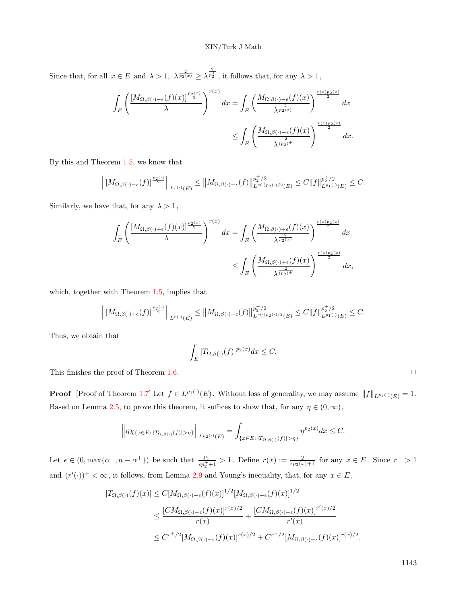Since that, for all  $x \in E$  and  $\lambda > 1$ ,  $\lambda^{\frac{2}{p_2(x)}} \geq \lambda^{\frac{2}{p_2^+}}$ , it follows that, for any  $\lambda > 1$ ,

$$
\int_{E} \left( \frac{\left[M_{\Omega,\beta(\cdot)-\epsilon}(f)(x)\right]^{\frac{p_2(x)}{2}}}{\lambda} \right)^{r(x)} dx = \int_{E} \left( \frac{M_{\Omega,\beta(\cdot)-\epsilon}(f)(x)}{\lambda^{\frac{2}{p_2(x)}}} \right)^{\frac{r(x)p_2(x)}{2}} dx
$$
  

$$
\leq \int_{E} \left( \frac{M_{\Omega,\beta(\cdot)-\epsilon}(f)(x)}{\lambda^{\frac{2}{(p_2)^+}}} \right)^{\frac{r(x)p_2(x)}{2}} dx.
$$

By this and Theorem [1.5](#page-3-0), we know that

$$
\left\|\left[M_{\Omega,\beta(\cdot)-\epsilon}(f)\right]^{\frac{p_2(\cdot)}{2}}\right\|_{L^{r(\cdot)}(E)} \leq \left\|M_{\Omega,\beta(\cdot)-\epsilon}(f)\right\|_{L^{r(\cdot)p_2(\cdot)/2}(E)}^{p_2^+/2} \leq C\|f\|_{L^{p_1(\cdot)}(E)}^{p_2^+/2} \leq C.
$$

Similarly, we have that, for any  $\lambda > 1$ ,

$$
\int_{E} \left( \frac{\left[M_{\Omega,\beta(\cdot)+\epsilon}(f)(x)\right]^{\frac{p_2(x)}{2}}}{\lambda} \right)^{r(x)} dx = \int_{E} \left( \frac{M_{\Omega,\beta(\cdot)+\epsilon}(f)(x)}{\lambda^{\frac{2}{p_2(x)}}} \right)^{\frac{r(x)p_2(x)}{2}} dx
$$
  

$$
\leq \int_{E} \left( \frac{M_{\Omega,\beta(\cdot)+\epsilon}(f)(x)}{\lambda^{\frac{2}{(p_2)^+}}} \right)^{\frac{r(x)p_2(x)}{2}} dx,
$$

which, together with Theorem [1.5](#page-3-0), implies that

$$
\left\| \left[M_{\Omega,\beta(\cdot)+\epsilon}(f)\right]^{\frac{p_2(\cdot)}{2}}\right\|_{L^{r(\cdot)}(E)} \leq \left\|M_{\Omega,\beta(\cdot)+\epsilon}(f)\right\|_{L^{r(\cdot)p_2(\cdot)/2}(E)}^{p_2^+/2} \leq C\|f\|_{L^{p_1(\cdot)}(E)}^{p_2^+/2} \leq C.
$$

Thus, we obtain that

$$
\int_{E} |T_{\Omega,\beta(\cdot)}(f)|^{p_2(x)} dx \leq C.
$$

This finishes the proof of Theorem  $1.6$ .  $\Box$ 

**Proof** [Proof of Theorem [1.7](#page-4-0)] Let  $f \in L^{p_1(\cdot)}(E)$ . Without loss of generality, we may assume  $||f||_{L^{p_1(\cdot)}(E)} = 1$ . Based on Lemma [2.5](#page-7-1), to prove this theorem, it suffices to show that, for any  $\eta \in (0, \infty)$ ,

$$
\left\|\eta\chi_{\{x\in E:\,|T_{\Omega,\beta(\cdot)}(f)|>\eta\}}\right\|_{L^{p_2(\cdot)}(E)}=\int_{\{x\in E:\,|T_{\Omega,\beta(\cdot)}(f)|>\eta\}}\eta^{p_2(x)}dx\leq C.
$$

Let  $\epsilon \in (0, \max\{\alpha^-, n-\alpha^+\})$  be such that  $\frac{p_1^-}{\epsilon p_2^+ + 1} > 1$ . Define  $r(x) := \frac{2}{\epsilon p_2(x) + 1}$  for any  $x \in E$ . Since  $r > 1$ and  $(r'(\cdot))^+ < \infty$ , it follows, from Lemma [2.9](#page-8-0) and Young's inequality, that, for any  $x \in E$ ,

$$
|T_{\Omega,\beta(\cdot)}(f)(x)| \le C[M_{\Omega,\beta(\cdot)-\epsilon}(f)(x)]^{1/2}[M_{\Omega,\beta(\cdot)+\epsilon}(f)(x)]^{1/2}
$$
  
\n
$$
\le \frac{[CM_{\Omega,\beta(\cdot)-\epsilon}(f)(x)]^{r(x)/2}}{r(x)} + \frac{[CM_{\Omega,\beta(\cdot)+\epsilon}(f)(x)]^{r'(x)/2}}{r'(x)}
$$
  
\n
$$
\le C^{r^{+}/2}[M_{\Omega,\beta(\cdot)-\epsilon}(f)(x)]^{r(x)/2} + C^{r^{-}/2}[M_{\Omega,\beta(\cdot)+\epsilon}(f)(x)]^{r(x)/2}.
$$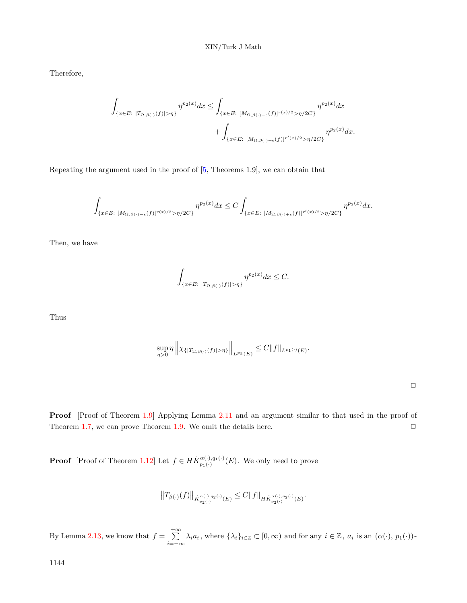Therefore,

$$
\int_{\{x \in E: \ |T_{\Omega,\beta}(\cdot)(f)| > \eta\}} \eta^{p_2(x)} dx \le \int_{\{x \in E: \ [M_{\Omega,\beta}(\cdot) - \epsilon(f)]^{r(x)/2} > \eta/2C\}} \eta^{p_2(x)} dx + \int_{\{x \in E: \ [M_{\Omega,\beta}(\cdot) + \epsilon(f)]^{r'(x)/2} > \eta/2C\}} \eta^{p_2(x)} dx.
$$

Repeating the argument used in the proof of  $[5,$  $[5,$  Theorems 1.9], we can obtain that

$$
\int_{\{x\in E:\ [M_{\Omega,\beta(\cdot)-\epsilon}(f)]^{r(x)/2}\geq \eta/2C\}}\eta^{p_2(x)}dx\leq C\int_{\{x\in E:\ [M_{\Omega,\beta(\cdot)+\epsilon}(f)]^{r'(x)/2}\geq \eta/2C\}}\eta^{p_2(x)}dx.
$$

Then, we have

$$
\int_{\{x\in E:\ |T_{\Omega,\beta(\cdot)}(f)|>\eta\}} \eta^{p_2(x)} dx \leq C.
$$

Thus

$$
\sup_{\eta>0}\eta \left\|\chi_{\{|T_{\Omega,\beta(\cdot)}(f)|>\eta\}}\right\|_{L^{p_2}(E)} \leq C \|f\|_{L^{p_1(\cdot)}(E)}.
$$

 $\Box$ 

**Proof** [Proof of Theorem [1.9](#page-4-1)] Applying Lemma [2.11](#page-9-0) and an argument similar to that used in the proof of Theorem [1.7,](#page-4-0) we can prove Theorem [1.9](#page-4-1). We omit the details here.  $\Box$ 

**Proof** [Proof of Theorem [1.12](#page-6-2)] Let  $f \in H\dot{K}_{n_1}^{\alpha(\cdot),q_1(\cdot)}$  $p_{1}(n) \choose p_{1}(n)$ . We only need to prove

$$
\big\|T_{\beta(\cdot)}(f)\big\|_{\dot{K}^{\alpha(\cdot),q_{2}(\cdot)}_{p_{2}(\cdot)}(E)}\leq C\|f\|_{H\dot{K}^{\alpha(\cdot),q_{2}(\cdot)}_{p_{2}(\cdot)}(E)}.
$$

By Lemma [2.13,](#page-9-1) we know that  $f = \sum_{n=1}^{+\infty}$  $\sum_{i=-\infty} \lambda_i a_i$ , where  $\{\lambda_i\}_{i\in\mathbb{Z}} \subset [0,\infty)$  and for any  $i \in \mathbb{Z}$ ,  $a_i$  is an  $(\alpha(\cdot), p_1(\cdot))$ -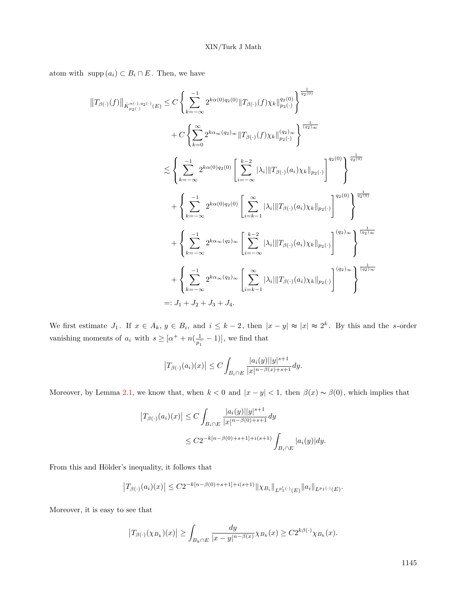atom with  $\text{supp}(a_i) \subset B_i \cap E$ . Then, we have

$$
||T_{\beta(\cdot)}(f)||_{\dot{K}_{p_{2}(\cdot)}^{\alpha(\cdot),q_{2}(\cdot)}(E)} \leq C \left\{ \sum_{k=-\infty}^{-1} 2^{k\alpha(0)q_{2}(0)} ||T_{\beta(\cdot)}(f)\chi_{k}||_{p_{2}(\cdot)}^{q_{2}(0)} \right\}^{\frac{1}{q_{2}(0)}} + C \left\{ \sum_{k=0}^{\infty} 2^{k\alpha_{\infty}(q_{2})_{\infty}} ||T_{\beta(\cdot)}(f)\chi_{k}||_{p_{2}(\cdot)}^{(q_{2})_{\infty}} \right\}^{\frac{1}{(q_{2})_{\infty}}} \n\lesssim \left\{ \sum_{k=-\infty}^{-1} 2^{k\alpha(0)q_{2}(0)} \left[ \sum_{i=-\infty}^{k-2} |\lambda_{i}|| ||T_{\beta(\cdot)}(a_{i})\chi_{k}||_{p_{2}(\cdot)} \right]^{q_{2}(0)} \right\}^{\frac{1}{q_{2}(0)}} + \left\{ \sum_{k=-\infty}^{-1} 2^{k\alpha(0)q_{2}(0)} \left[ \sum_{i=k-1}^{\infty} |\lambda_{i}|| ||T_{\beta(\cdot)}(a_{i})\chi_{k}||_{p_{2}(\cdot)} \right]^{q_{2}(0)} \right\}^{\frac{1}{q_{2}(0)}} + \left\{ \sum_{k=-\infty}^{-1} 2^{k\alpha_{\infty}(q_{2})_{\infty}} \left[ \sum_{i=-\infty}^{k-2} |\lambda_{i}|| ||T_{\beta(\cdot)}(a_{i})\chi_{k}||_{p_{2}(\cdot)} \right]^{(q_{2})_{\infty}} \right\}^{\frac{1}{(q_{2})_{\infty}} \frac{1}{(q_{2})_{\infty}} + \left\{ \sum_{k=-\infty}^{-1} 2^{k\alpha_{\infty}(q_{2})_{\infty}} \left[ \sum_{i=k-1}^{\infty} |\lambda_{i}|| ||T_{\beta(\cdot)}(a_{i})\chi_{k}||_{p_{2}(\cdot)} \right]^{(q_{2})_{\infty}} \right\}^{\frac{1}{(q_{2})_{\infty}} \frac{1}{(q_{2})_{\infty}}
$$
\n=:  $J_{1} + J_{2} + J_{3} + J_{4}$ .

We first estimate  $J_1$ . If  $x \in A_k$ ,  $y \in B_i$ , and  $i \leq k-2$ , then  $|x-y| \approx |x| \approx 2^k$ . By this and the s-order vanishing moments of  $a_i$  with  $s \geq [\alpha^+ + n(\frac{1}{n}]$  $\frac{1}{p_1^-}$  − 1)], we find that

$$
\left|T_{\beta(\cdot)}(a_i)(x)\right| \le C \int_{B_i \cap E} \frac{|a_i(y)| |y|^{s+1}}{|x|^{n-\beta(x)+s+1}} dy.
$$

Moreover, by Lemma [2.1,](#page-6-3) we know that, when  $k < 0$  and  $|x - y| < 1$ , then  $\beta(x) \sim \beta(0)$ , which implies that

$$
|T_{\beta(\cdot)}(a_i)(x)| \le C \int_{B_i \cap E} \frac{|a_i(y)| |y|^{s+1}}{|x|^{n-\beta(0)+s+1}} dy
$$
  

$$
\le C2^{-k[n-\beta(0)+s+1]+i(s+1)} \int_{B_i \cap E} |a_i(y)| dy.
$$

From this and Hölder's inequality, it follows that

$$
|T_{\beta(\cdot)}(a_i)(x)| \leq C2^{-k[n-\beta(0)+s+1]+i(s+1)} \|\chi_{B_i}\|_{L^{p'_1(\cdot)}(E)} \|a_i\|_{L^{p_1(\cdot)}(E)}
$$

Moreover, it is easy to see that

$$
\left|T_{\beta(\cdot)}(\chi_{B_k})(x)\right| \geq \int_{B_k \cap E} \frac{dy}{|x-y|^{n-\beta(x)}} \chi_{B_k}(x) \geq C 2^{k\beta(\cdot)} \chi_{B_k}(x).
$$

1145

*.*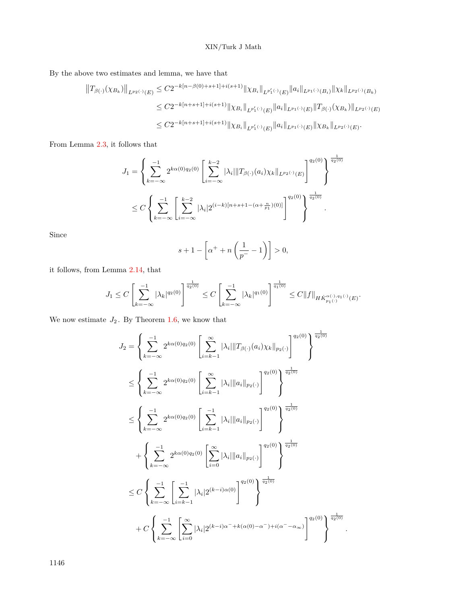By the above two estimates and lemma, we have that

$$
||T_{\beta(\cdot)}(\chi_{B_k})||_{L^{p_2(\cdot)}(E)} \leq C2^{-k[n-\beta(0)+s+1]+i(s+1)} ||\chi_{B_i}||_{L^{p'_1(\cdot)}(E)} ||a_i||_{L^{p_1(\cdot)}(B_i)} ||\chi_k||_{L^{p_2(\cdot)}(B_k)}
$$
  
\n
$$
\leq C2^{-k[n+s+1]+i(s+1)} ||\chi_{B_i}||_{L^{p'_1(\cdot)}(E)} ||a_i||_{L^{p_1(\cdot)}(E)} ||T_{\beta(\cdot)}(\chi_{B_k})||_{L^{p_2(\cdot)}(E)}
$$
  
\n
$$
\leq C2^{-k[n+s+1]+i(s+1)} ||\chi_{B_i}||_{L^{p'_1(\cdot)}(E)} ||a_i||_{L^{p_1(\cdot)}(E)} ||\chi_{B_k}||_{L^{p_2(\cdot)}(E)}.
$$

From Lemma [2.3](#page-7-2), it follows that

$$
J_1 = \left\{ \sum_{k=-\infty}^{-1} 2^{k\alpha(0)q_2(0)} \left[ \sum_{i=-\infty}^{k-2} |\lambda_i| \| T_{\beta(\cdot)}(a_i) \chi_k \|_{L^{p_2(\cdot)}(E)} \right]^{q_2(0)} \right\}^{\frac{1}{q_2(0)}} \right\}^{\frac{1}{q_2(0)}} \times C \left\{ \sum_{k=-\infty}^{-1} \left[ \sum_{i=-\infty}^{k-2} |\lambda_i| 2^{(i-k)[n+s+1-(\alpha+\frac{n}{p_1})(0)]} \right]^{q_2(0)} \right\}^{\frac{1}{q_2(0)}}.
$$

Since

$$
s+1-\left[\alpha^+ + n\left(\frac{1}{p^-}-1\right)\right] > 0,
$$

it follows, from Lemma [2.14](#page-10-1), that

$$
J_1 \leq C \left[ \sum_{k=-\infty}^{-1} |\lambda_k|^{q_2(0)} \right]^{\frac{1}{q_2(0)}} \leq C \left[ \sum_{k=-\infty}^{-1} |\lambda_k|^{q_1(0)} \right]^{\frac{1}{q_1(0)}} \leq C ||f||_{H\dot{K}_{p_1(\cdot)}^{\alpha(\cdot),q_1(\cdot)}(E)}.
$$

We now estimate  $J_2$ . By Theorem [1.6](#page-3-1), we know that

$$
J_2 = \left\{ \sum_{k=-\infty}^{-1} 2^{k\alpha(0)q_2(0)} \left[ \sum_{i=k-1}^{\infty} |\lambda_i| \| T_{\beta(\cdot)}(a_i) \chi_k \|_{p_2(\cdot)} \right]^{q_2(0)} \right\}^{\frac{1}{q_2(0)}} \times \left\{ \sum_{k=-\infty}^{-1} 2^{k\alpha(0)q_2(0)} \left[ \sum_{i=k-1}^{\infty} |\lambda_i| \|a_i\|_{p_2(\cdot)} \right]^{q_2(0)} \right\}^{\frac{1}{q_2(0)}} \times \left\{ \sum_{k=-\infty}^{-1} 2^{k\alpha(0)q_2(0)} \left[ \sum_{i=k-1}^{-1} |\lambda_i| \|a_i\|_{p_2(\cdot)} \right]^{q_2(0)} \right\}^{\frac{1}{q_2(0)}} \times \left\{ \sum_{k=-\infty}^{-1} 2^{k\alpha(0)q_2(0)} \left[ \sum_{i=0}^{\infty} |\lambda_i| \|a_i\|_{p_2(\cdot)} \right]^{q_2(0)} \right\}^{\frac{1}{q_2(0)}} \times C \left\{ \sum_{k=-\infty}^{-1} \left[ \sum_{i=k-1}^{-1} |\lambda_i| 2^{(k-i)\alpha(0)} \right]^{q_2(0)} \right\}^{\frac{1}{q_2(0)}} \times C \left\{ \sum_{k=-\infty}^{-1} \left[ \sum_{i=k-1}^{-1} |\lambda_i| 2^{(k-i)\alpha(0)} \right]^{q_2(0)} \right\}^{\frac{1}{q_2(0)}} \times C \left\{ \sum_{k=-\infty}^{-1} \left[ \sum_{i=0}^{\infty} |\lambda_i| 2^{(k-i)\alpha^{-} + k(\alpha(0) - \alpha^{-}) + i(\alpha^{-} - \alpha_{\infty})} \right]^{q_2(0)} \right\}^{\frac{1}{q_2(0)}}.
$$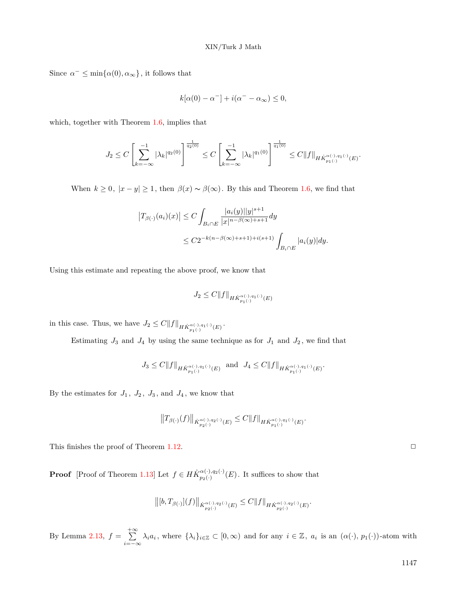Since  $\alpha^- \le \min\{\alpha(0), \alpha_\infty\}$ , it follows that

$$
k[\alpha(0) - \alpha^-] + i(\alpha^- - \alpha_\infty) \le 0,
$$

which, together with Theorem [1.6](#page-3-1), implies that

$$
J_2 \leq C \left[ \sum_{k=-\infty}^{-1} |\lambda_k|^{q_2(0)} \right]^{\frac{1}{q_2(0)}} \leq C \left[ \sum_{k=-\infty}^{-1} |\lambda_k|^{q_1(0)} \right]^{\frac{1}{q_1(0)}} \leq C ||f||_{H\dot{K}_{p_1(\cdot)}^{\alpha(\cdot),q_1(\cdot)}(E)}.
$$

When  $k \geq 0$ ,  $|x - y| \geq 1$ , then  $\beta(x) \sim \beta(\infty)$ . By this and Theorem [1.6](#page-3-1), we find that

$$
\begin{aligned} \left|T_{\beta(\cdot)}(a_i)(x)\right| &\le C \int_{B_i \cap E} \frac{|a_i(y)| |y|^{s+1}}{|x|^{n-\beta(\infty)+s+1}} dy \\ &\le C 2^{-k(n-\beta(\infty)+s+1)+i(s+1)} \int_{B_i \cap E} |a_i(y)| dy. \end{aligned}
$$

Using this estimate and repeating the above proof, we know that

$$
J_2 \le C \|f\|_{H\dot{K}_{p_1(\cdot)}^{\alpha(\cdot),q_1(\cdot)}(E)}
$$

in this case. Thus, we have  $J_2 \leq C ||f||_{HK_{p_1(\cdot)}^{\alpha(\cdot),q_1(\cdot)}(E)}$ .

Estimating  $J_3$  and  $J_4$  by using the same technique as for  $J_1$  and  $J_2$ , we find that

$$
J_3 \leq C \|f\|_{H\dot{K}_{p_1(\cdot)}^{\alpha(\cdot),q_1(\cdot)}(E)} \ \ \text{and} \ \ J_4 \leq C \|f\|_{H\dot{K}_{p_1(\cdot)}^{\alpha(\cdot),q_1(\cdot)}(E)}.
$$

By the estimates for  $J_1$ ,  $J_2$ ,  $J_3$ , and  $J_4$ , we know that

$$
\big\|T_{\beta(\cdot)}(f)\big\|_{\dot{K}^{\alpha(\cdot),q_{2}(\cdot)}_{p_{2}(\cdot)}(E)}\leq C\|f\|_{H\dot{K}^{\alpha(\cdot),q_{1}(\cdot)}_{p_{1}(\cdot)}(E)}.
$$

This finishes the proof of Theorem [1.12.](#page-6-2)  $\Box$ 

**Proof** [Proof of Theorem [1.13](#page-6-4)] Let  $f \in H\dot{K}_{n_0(\cdot)}^{\alpha(\cdot),q_2(\cdot)}$  $p_2(\cdot)$ ,  $q_2(\cdot)$  (*E*). It suffices to show that

$$
\big\|[b,T_{\beta(\cdot)}](f)\big\|_{\dot{K}^{\alpha(\cdot),q_2(\cdot)}_{p_2(\cdot)}(E)}\leq C\|f\|_{H\dot{K}^{\alpha(\cdot),q_2(\cdot)}_{p_2(\cdot)}(E)}.
$$

By Lemma [2.13,](#page-9-1)  $f = \sum_{n=1}^{+\infty}$  $\sum_{i=-\infty} \lambda_i a_i$ , where  $\{\lambda_i\}_{i\in\mathbb{Z}} \subset [0,\infty)$  and for any  $i \in \mathbb{Z}$ ,  $a_i$  is an  $(\alpha(\cdot), p_1(\cdot))$ -atom with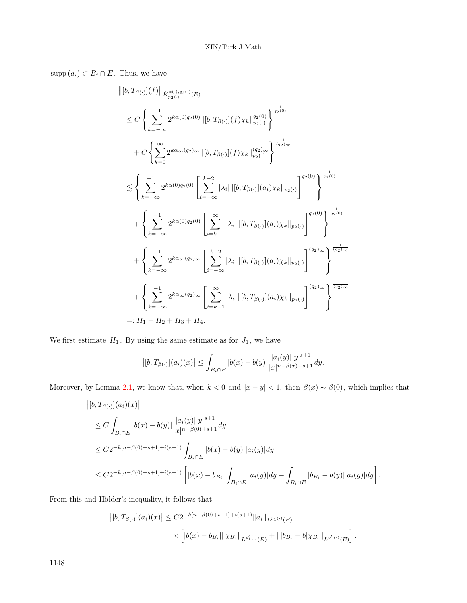supp  $(a_i) \subset B_i \cap E$ . Thus, we have

$$
\| [b, T_{\beta(\cdot)}](f) \|_{\dot{K}_{p_2(\cdot)}^{\alpha(\cdot), q_2(\cdot)}(E)}
$$
\n
$$
\leq C \left\{ \sum_{k=-\infty}^{-1} 2^{k\alpha(0)q_2(0)} \| [b, T_{\beta(\cdot)}](f) \chi_k \|_{p_2(\cdot)}^{q_2(0)} \right\}^{\frac{1}{q_2(0)}}
$$
\n
$$
+ C \left\{ \sum_{k=0}^{\infty} 2^{k\alpha_{\infty}(q_2)_{\infty}} \| [b, T_{\beta(\cdot)}](f) \chi_k \|_{p_2(\cdot)}^{(q_2)_{\infty}} \right\}^{\frac{1}{(q_2)_{\infty}}}
$$
\n
$$
\leq \left\{ \sum_{k=-\infty}^{-1} 2^{k\alpha(0)q_2(0)} \left[ \sum_{i=-\infty}^{k-2} |\lambda_i| \| [b, T_{\beta(\cdot)}](a_i) \chi_k \|_{p_2(\cdot)} \right]^{q_2(0)} \right\}^{\frac{1}{q_2(0)}}
$$
\n
$$
+ \left\{ \sum_{k=-\infty}^{-1} 2^{k\alpha(0)q_2(0)} \left[ \sum_{i=k-1}^{\infty} |\lambda_i| \| [b, T_{\beta(\cdot)}](a_i) \chi_k \|_{p_2(\cdot)} \right]^{q_2(0)} \right\}^{\frac{1}{q_2(0)}}
$$
\n
$$
+ \left\{ \sum_{k=-\infty}^{-1} 2^{k\alpha_{\infty}(q_2)_{\infty}} \left[ \sum_{i=-\infty}^{k-2} |\lambda_i| \| [b, T_{\beta(\cdot)}](a_i) \chi_k \|_{p_2(\cdot)} \right]^{(q_2)_{\infty}} \right\}^{\frac{1}{(q_2)_{\infty}}}
$$
\n
$$
+ \left\{ \sum_{k=-\infty}^{-1} 2^{k\alpha_{\infty}(q_2)_{\infty}} \left[ \sum_{i=k-1}^{\infty} |\lambda_i| \| [b, T_{\beta(\cdot)}](a_i) \chi_k \|_{p_2(\cdot)} \right]^{(q_2)_{\infty}} \right\}^{\frac{1}{(q_2)_{\infty}}}
$$
\n
$$
=: H_1 + H_2 + H_3 + H_4.
$$

We first estimate  $H_1$ . By using the same estimate as for  $J_1$ , we have

$$
\left| [b, T_{\beta(\cdot)}](a_i)(x) \right| \leq \int_{B_i \cap E} |b(x) - b(y)| \frac{|a_i(y)| |y|^{s+1}}{|x|^{n-\beta(x)+s+1}} dy.
$$

Moreover, by Lemma [2.1,](#page-6-3) we know that, when  $k < 0$  and  $|x - y| < 1$ , then  $\beta(x) \sim \beta(0)$ , which implies that

$$
\begin{aligned} &\left|[b,T_{\beta(\cdot)}](a_i)(x)\right|\\ &\leq C\int_{B_i\cap E} |b(x)-b(y)|\frac{|a_i(y)||y|^{s+1}}{|x|^{n-\beta(0)+s+1}}dy\\ &\leq C2^{-k[n-\beta(0)+s+1]+i(s+1)}\int_{B_i\cap E} |b(x)-b(y)||a_i(y)|dy\\ &\leq C2^{-k[n-\beta(0)+s+1]+i(s+1)}\left[|b(x)-b_{B_i}|\int_{B_i\cap E} |a_i(y)|dy+\int_{B_i\cap E} |b_{B_i}-b(y)||a_i(y)|dy\right]. \end{aligned}
$$

From this and Hölder's inequality, it follows that

$$
\begin{aligned} \left| [b, T_{\beta(\cdot)}](a_i)(x) \right| &\leq C 2^{-k[n-\beta(0)+s+1]+i(s+1)} \|a_i\|_{L^{p_1(\cdot)}(E)} \\ &\qquad \times \left[ |b(x)-b_{B_i}| \|\chi_{B_i}\|_{L^{p'_1(\cdot)}(E)} + \||b_{B_i}-b|\chi_{B_i}\|_{L^{p'_1(\cdot)}(E)} \right]. \end{aligned}
$$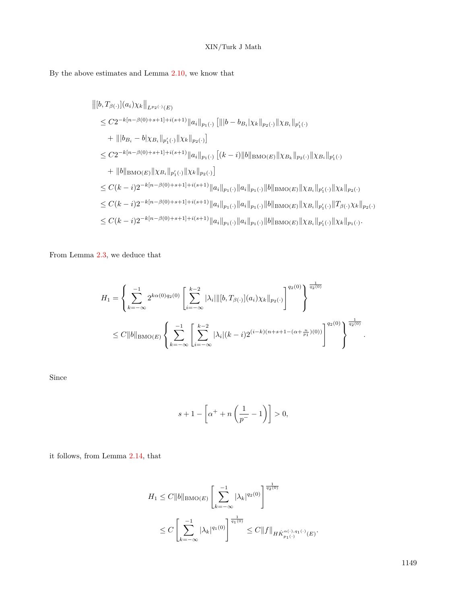By the above estimates and Lemma [2.10](#page-9-2), we know that

$$
\begin{split} &\left\|[b,T_{\beta(\cdot)}](a_i)\chi_k\right\|_{L^{p_2(\cdot)}(E)}\\ &\leq C2^{-k[n-\beta(0)+s+1]+i(s+1)}\|a_i\|_{p_1(\cdot)}\left[\||b-b_{B_i}|\chi_k\|_{p_2(\cdot)}\|\chi_{B_i}\|_{p'_1(\cdot)}\right.\\ &\left.+\||b_{B_i}-b|\chi_{B_i}\|_{p'_1(\cdot)}\|\chi_k\|_{p_2(\cdot)}\right] \\ &\leq C2^{-k[n-\beta(0)+s+1]+i(s+1)}\|a_i\|_{p_1(\cdot)}\left[(k-i)\|b\|_{\text{BMO}(E)}\|\chi_{B_k}\|_{p_2(\cdot)}\|\chi_{B_i}\|_{p'_1(\cdot)}\right.\\ &\left.+\|b\|_{\text{BMO}(E)}\|\chi_{B_i}\|_{p'_1(\cdot)}\|\chi_k\|_{p_2(\cdot)}\right] \\ &\leq C(k-i)2^{-k[n-\beta(0)+s+1]+i(s+1)}\|a_i\|_{p_1(\cdot)}\|a_i\|_{p_1(\cdot)}\|b\|_{\text{BMO}(E)}\|\chi_{B_i}\|_{p'_1(\cdot)}\|\chi_k\|_{p_2(\cdot)} \\ &\leq C(k-i)2^{-k[n-\beta(0)+s+1]+i(s+1)}\|a_i\|_{p_1(\cdot)}\|a_i\|_{p_1(\cdot)}\|b\|_{\text{BMO}(E)}\|\chi_{B_i}\|_{p'_1(\cdot)}\|T_{\beta(\cdot)}\chi_k\|_{p_2(\cdot)} \\ &\leq C(k-i)2^{-k[n-\beta(0)+s+1]+i(s+1)}\|a_i\|_{p_1(\cdot)}\|a_i\|_{p_1(\cdot)}\|b\|_{\text{BMO}(E)}\|\chi_{B_i}\|_{p'_1(\cdot)}\|\chi_k\|_{p_1(\cdot)}.\end{split}
$$

From Lemma [2.3](#page-7-2), we deduce that

$$
H_1 = \left\{ \sum_{k=-\infty}^{-1} 2^{k\alpha(0)q_2(0)} \left[ \sum_{i=-\infty}^{k-2} |\lambda_i| \|[b, T_{\beta(\cdot)}](a_i) \chi_k\|_{p_2(\cdot)} \right]^{q_2(0)} \right\}^{\frac{1}{q_2(0)}} \n\leq C \|b\|_{\text{BMO}(E)} \left\{ \sum_{k=-\infty}^{-1} \left[ \sum_{i=-\infty}^{k-2} |\lambda_i|(k-i) 2^{(i-k)(n+s+1-(\alpha+\frac{n}{p_1})(0))} \right]^{q_2(0)} \right\}^{\frac{1}{q_2(0)}}.
$$

Since

$$
s+1-\left[\alpha^++n\left(\frac{1}{p^-}-1\right)\right]>0,
$$

it follows, from Lemma [2.14](#page-10-1), that

$$
H_1 \leq C ||b||_{\text{BMO}(E)} \left[ \sum_{k=-\infty}^{-1} |\lambda_k|^{q_2(0)} \right]^{\frac{1}{q_2(0)}}
$$
  

$$
\leq C \left[ \sum_{k=-\infty}^{-1} |\lambda_k|^{q_1(0)} \right]^{\frac{1}{q_1(0)}} \leq C ||f||_{H\dot{K}_{p_1(\cdot)}^{\alpha(\cdot), q_1(\cdot)}(E)}.
$$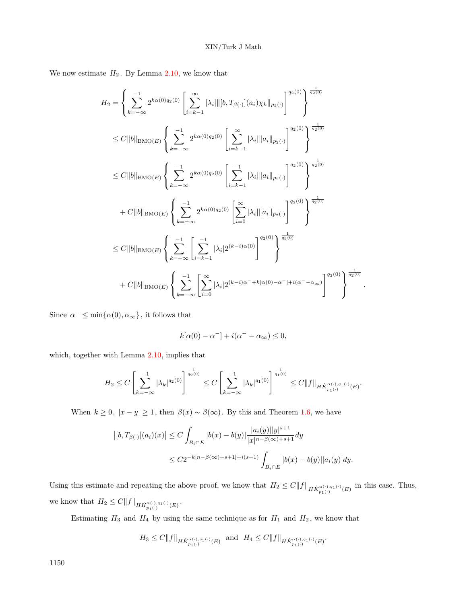We now estimate  $H_2$ . By Lemma [2.10,](#page-9-2) we know that

$$
H_{2} = \left\{ \sum_{k=-\infty}^{-1} 2^{k\alpha(0)q_{2}(0)} \left[ \sum_{i=k-1}^{\infty} |\lambda_{i}| \|[b, T_{\beta(\cdot)}](a_{i}) \chi_{k} \|_{p_{2}(\cdot)} \right]^{q_{2}(0)} \right\}^{\frac{1}{q_{2}(0)}}
$$
  
\n
$$
\leq C \||b||_{\text{BMO}(E)} \left\{ \sum_{k=-\infty}^{-1} 2^{k\alpha(0)q_{2}(0)} \left[ \sum_{i=k-1}^{\infty} |\lambda_{i}| \|a_{i}\|_{p_{2}(\cdot)} \right]^{q_{2}(0)} \right\}^{\frac{1}{q_{2}(0)}}
$$
  
\n
$$
\leq C \||b||_{\text{BMO}(E)} \left\{ \sum_{k=-\infty}^{-1} 2^{k\alpha(0)q_{2}(0)} \left[ \sum_{i=k-1}^{-1} |\lambda_{i}| \|a_{i}\|_{p_{2}(\cdot)} \right]^{q_{2}(0)} \right\}^{\frac{1}{q_{2}(0)}}
$$
  
\n
$$
+ C \||b||_{\text{BMO}(E)} \left\{ \sum_{k=-\infty}^{-1} 2^{k\alpha(0)q_{2}(0)} \left[ \sum_{i=0}^{\infty} |\lambda_{i}| \|a_{i}\|_{p_{2}(\cdot)} \right]^{q_{2}(0)} \right\}^{\frac{1}{q_{2}(0)}}
$$
  
\n
$$
\leq C \||b||_{\text{BMO}(E)} \left\{ \sum_{k=-\infty}^{-1} \left[ \sum_{i=k-1}^{-1} |\lambda_{i}| 2^{(k-i)\alpha(0)} \right]^{q_{2}(0)} \right\}^{\frac{1}{q_{2}(0)}}
$$
  
\n
$$
+ C \||b||_{\text{BMO}(E)} \left\{ \sum_{k=-\infty}^{-1} \left[ \sum_{i=0}^{\infty} |\lambda_{i}| 2^{(k-i)\alpha} \right]^{q_{2}(0)} \right\}^{\frac{1}{q_{2}(0)}}
$$
  
\n
$$
+ C \||b||_{\text{BMO}(E)} \left\{ \sum_{k=-\infty}^{-1} \left[ \sum_{i=0}^{\infty} |\lambda_{i}| 2^{(k-i)\alpha} \right]^{q_{2}(0)} - \frac{1}{1+i(\alpha
$$

Since  $\alpha^- \le \min\{\alpha(0), \alpha_\infty\}$ , it follows that

$$
k[\alpha(0) - \alpha^-] + i(\alpha^- - \alpha_\infty) \le 0,
$$

*.*

which, together with Lemma [2.10](#page-9-2), implies that

$$
H_2 \leq C \left[ \sum_{k=-\infty}^{-1} |\lambda_k|^{q_2(0)} \right]^{\frac{1}{q_2(0)}} \leq C \left[ \sum_{k=-\infty}^{-1} |\lambda_k|^{q_1(0)} \right]^{\frac{1}{q_1(0)}} \leq C ||f||_{H\dot{K}_{p_1(\cdot)}^{\alpha(\cdot),q_1(\cdot)}(E)}.
$$

When  $k \geq 0$ ,  $|x - y| \geq 1$ , then  $\beta(x) \sim \beta(\infty)$ . By this and Theorem [1.6](#page-3-1), we have

$$
\left| [b, T_{\beta(\cdot)}](a_i)(x) \right| \le C \int_{B_i \cap E} |b(x) - b(y)| \frac{|a_i(y)| |y|^{s+1}}{|x|^{n - \beta(\infty) + s + 1}} dy
$$
  

$$
\le C2^{-k[n - \beta(\infty) + s + 1] + i(s+1)} \int_{B_i \cap E} |b(x) - b(y)| |a_i(y)| dy.
$$

Using this estimate and repeating the above proof, we know that  $H_2 \leq C||f||_{H\dot{K}^{\alpha(\cdot),q_1(\cdot)}_{p_1(\cdot)}(E)}$  in this case. Thus, we know that  $H_2 \leq C ||f||_{H\dot{K}_{p_1(\cdot)}^{\alpha(\cdot),q_1(\cdot)}(E)}$ .

Estimating  $H_3$  and  $H_4$  by using the same technique as for  $H_1$  and  $H_2$ , we know that

$$
H_3\leq C\|f\|_{H\dot{K}_{p_1(\cdot)}^{\alpha(\cdot),q_1(\cdot)}(E)}\ \ \text{and}\ \ H_4\leq C\|f\|_{H\dot{K}_{p_1(\cdot)}^{\alpha(\cdot),q_1(\cdot)}(E)}.
$$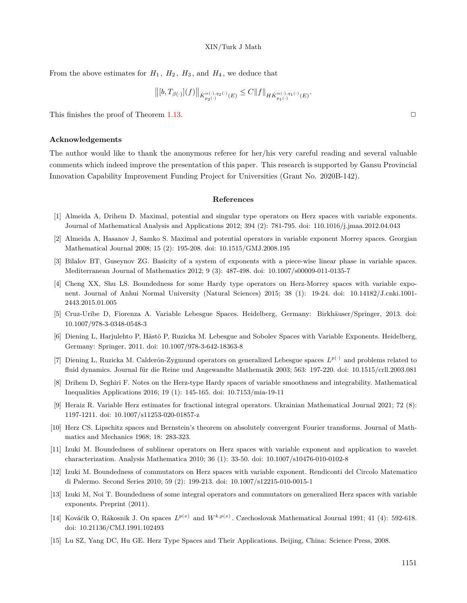From the above estimates for  $H_1$ ,  $H_2$ ,  $H_3$ , and  $H_4$ , we deduce that

$$
\big\|[b,T_{\beta(\cdot)}](f)\big\|_{\dot{K}_{p_2(\cdot)}^{\alpha(\cdot),q_2(\cdot)}(E)}\leq C\|f\|_{H\dot{K}_{p_1(\cdot)}^{\alpha(\cdot),q_1(\cdot)}(E)}
$$

*.*

This finishes the proof of Theorem [1.13.](#page-6-4)  $\Box$ 

#### **Acknowledgements**

The author would like to thank the anonymous referee for her/his very careful reading and several valuable comments which indeed improve the presentation of this paper. This research is supported by Gansu Provincial Innovation Capability Improvement Funding Project for Universities (Grant No. 2020B-142).

#### **References**

- <span id="page-20-7"></span>[1] Almeida A, Drihem D. Maximal, potential and singular type operators on Herz spaces with variable exponents. Journal of Mathematical Analysis and Applications 2012; 394 (2): 781-795. doi: 110.1016/j.jmaa.2012.04.043
- <span id="page-20-14"></span>[2] Almeida A, Hasanov J, Samko S. Maximal and potential operators in variable exponent Morrey spaces. Georgian Mathematical Journal 2008; 15 (2): 195-208. doi: 10.1515/GMJ.2008.195
- <span id="page-20-0"></span>[3] Bilalov BT, Guseynov ZG. Basicity of a system of exponents with a piece-wise linear phase in variable spaces. Mediterranean Journal of Mathematics 2012; 9 (3): 487-498. doi: 10.1007/s00009-011-0135-7
- <span id="page-20-12"></span>[4] Cheng XX, Shu LS. Boundedness for some Hardy type operators on Herz-Morrey spaces with variable exponent. Journal of Anhui Normal University (Natural Sciences) 2015; 38 (1): 19-24. doi: 10.14182/J.cnki.1001- 2443.2015.01.005
- <span id="page-20-1"></span>[5] Cruz-Uribe D, Fiorenza A. Variable Lebesgue Spaces. Heidelberg, Germany: Birkhäuser/Springer, 2013. doi: 10.1007/978-3-0348-0548-3
- <span id="page-20-11"></span>[6] Diening L, Harjulehto P, Hästö P, Ruzicka M. Lebesgue and Sobolev Spaces with Variable Exponents. Heidelberg, Germany: Springer, 2011. doi: 10.1007/978-3-642-18363-8
- <span id="page-20-2"></span>[7] Diening L, Ruzicka M. Calderón-Zygmund operators on generalized Lebesgue spaces *L p*(*·*) and problems related to fluid dynamics. Journal für die Reine und Angewandte Mathematik 2003; 563: 197-220. doi: 10.1515/crll.2003.081
- <span id="page-20-9"></span>[8] Drihem D, Seghiri F. Notes on the Herz-type Hardy spaces of variable smoothness and integrability. Mathematical Inequalities Applications 2016; 19 (1): 145-165. doi: 10.7153/mia-19-11
- <span id="page-20-10"></span>[9] Heraiz R. Variable Herz estimates for fractional integral operators. Ukrainian Mathematical Journal 2021; 72 (8): 1197-1211. doi: 10.1007/s11253-020-01857-z
- <span id="page-20-4"></span>[10] Herz CS. Lipschitz spaces and Bernstein's theorem on absolutely convergent Fourier transforms. Journal of Mathmatics and Mechanics 1968; 18: 283-323.
- <span id="page-20-6"></span>[11] Izuki M. Boundedness of sublinear operators on Herz spaces with variable exponent and application to wavelet characterization. Analysis Mathematica 2010; 36 (1): 33-50. doi: 10.1007/s10476-010-0102-8
- <span id="page-20-13"></span>[12] Izuki M. Boundedness of commutators on Herz spaces with variable exponent. Rendiconti del Circolo Matematico di Palermo. Second Series 2010; 59 (2): 199-213. doi: 10.1007/s12215-010-0015-1
- <span id="page-20-8"></span>[13] Izuki M, Noi T. Boundedness of some integral operators and commutators on generalized Herz spaces with variable exponents. Preprint (2011).
- <span id="page-20-3"></span>[14] Kováčik O, Rákosnik J. On spaces  $L^{p(x)}$  and  $W^{k,p(x)}$ . Czechoslovak Mathematical Journal 1991; 41 (4): 592-618. doi: 10.21136/CMJ.1991.102493
- <span id="page-20-5"></span>[15] Lu SZ, Yang DC, Hu GE. Herz Type Spaces and Their Applications. Beijing, China: Science Press, 2008.